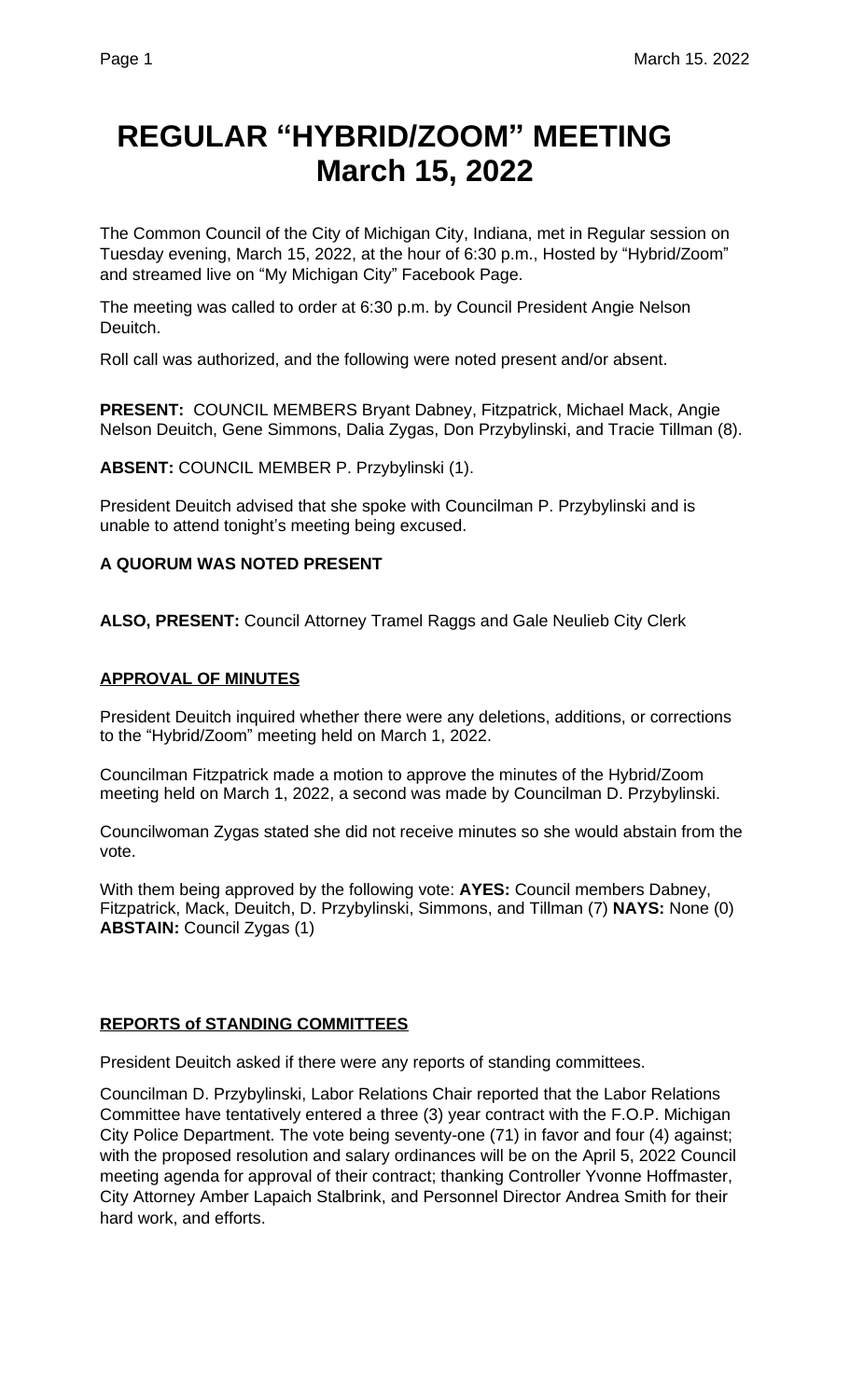# **REGULAR "HYBRID/ZOOM" MEETING March 15, 2022**

The Common Council of the City of Michigan City, Indiana, met in Regular session on Tuesday evening, March 15, 2022, at the hour of 6:30 p.m., Hosted by "Hybrid/Zoom" and streamed live on "My Michigan City" Facebook Page.

The meeting was called to order at 6:30 p.m. by Council President Angie Nelson Deuitch.

Roll call was authorized, and the following were noted present and/or absent.

**PRESENT:** COUNCIL MEMBERS Bryant Dabney, Fitzpatrick, Michael Mack, Angie Nelson Deuitch, Gene Simmons, Dalia Zygas, Don Przybylinski, and Tracie Tillman (8).

**ABSENT:** COUNCIL MEMBER P. Przybylinski (1).

President Deuitch advised that she spoke with Councilman P. Przybylinski and is unable to attend tonight's meeting being excused.

## **A QUORUM WAS NOTED PRESENT**

**ALSO, PRESENT:** Council Attorney Tramel Raggs and Gale Neulieb City Clerk

## **APPROVAL OF MINUTES**

President Deuitch inquired whether there were any deletions, additions, or corrections to the "Hybrid/Zoom" meeting held on March 1, 2022.

Councilman Fitzpatrick made a motion to approve the minutes of the Hybrid/Zoom meeting held on March 1, 2022, a second was made by Councilman D. Przybylinski.

Councilwoman Zygas stated she did not receive minutes so she would abstain from the vote.

With them being approved by the following vote: **AYES:** Council members Dabney, Fitzpatrick, Mack, Deuitch, D. Przybylinski, Simmons, and Tillman (7) **NAYS:** None (0) **ABSTAIN:** Council Zygas (1)

## **REPORTS of STANDING COMMITTEES**

President Deuitch asked if there were any reports of standing committees.

Councilman D. Przybylinski, Labor Relations Chair reported that the Labor Relations Committee have tentatively entered a three (3) year contract with the F.O.P. Michigan City Police Department. The vote being seventy-one (71) in favor and four (4) against; with the proposed resolution and salary ordinances will be on the April 5, 2022 Council meeting agenda for approval of their contract; thanking Controller Yvonne Hoffmaster, City Attorney Amber Lapaich Stalbrink, and Personnel Director Andrea Smith for their hard work, and efforts.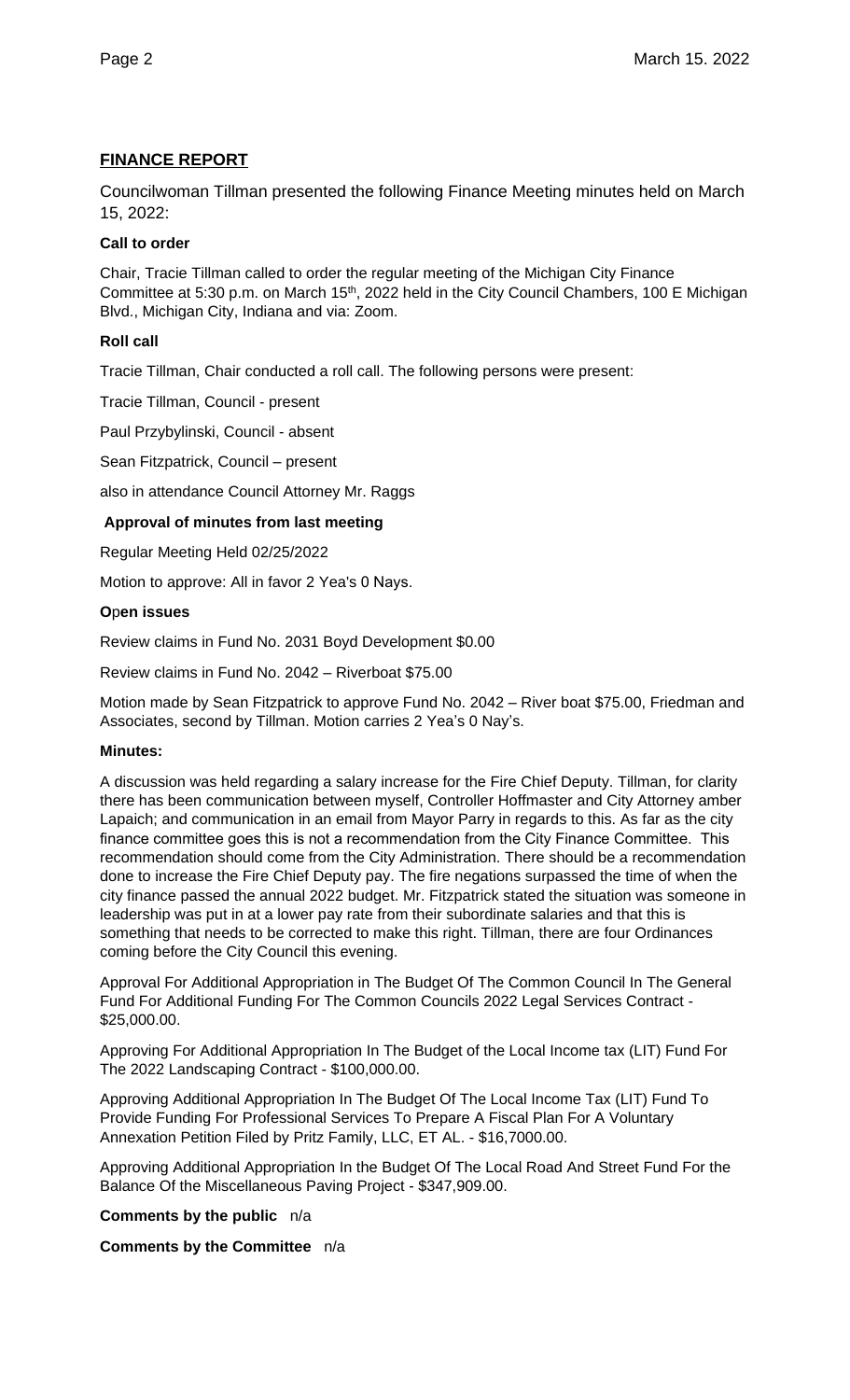## **FINANCE REPORT**

Councilwoman Tillman presented the following Finance Meeting minutes held on March 15, 2022:

## **Call to order**

Chair, Tracie Tillman called to order the regular meeting of the Michigan City Finance Committee at 5:30 p.m. on March 15<sup>th</sup>, 2022 held in the City Council Chambers, 100 E Michigan Blvd., Michigan City, Indiana and via: Zoom.

## **Roll call**

Tracie Tillman, Chair conducted a roll call. The following persons were present:

Tracie Tillman, Council - present

Paul Przybylinski, Council - absent

Sean Fitzpatrick, Council – present

also in attendance Council Attorney Mr. Raggs

## **Approval of minutes from last meeting**

Regular Meeting Held 02/25/2022

Motion to approve: All in favor 2 Yea's 0 Nays.

## **O**p**en issues**

Review claims in Fund No. 2031 Boyd Development \$0.00

Review claims in Fund No. 2042 – Riverboat \$75.00

Motion made by Sean Fitzpatrick to approve Fund No. 2042 – River boat \$75.00, Friedman and Associates, second by Tillman. Motion carries 2 Yea's 0 Nay's.

## **Minutes:**

A discussion was held regarding a salary increase for the Fire Chief Deputy. Tillman, for clarity there has been communication between myself, Controller Hoffmaster and City Attorney amber Lapaich; and communication in an email from Mayor Parry in regards to this. As far as the city finance committee goes this is not a recommendation from the City Finance Committee. This recommendation should come from the City Administration. There should be a recommendation done to increase the Fire Chief Deputy pay. The fire negations surpassed the time of when the city finance passed the annual 2022 budget. Mr. Fitzpatrick stated the situation was someone in leadership was put in at a lower pay rate from their subordinate salaries and that this is something that needs to be corrected to make this right. Tillman, there are four Ordinances coming before the City Council this evening.

Approval For Additional Appropriation in The Budget Of The Common Council In The General Fund For Additional Funding For The Common Councils 2022 Legal Services Contract - \$25,000.00.

Approving For Additional Appropriation In The Budget of the Local Income tax (LIT) Fund For The 2022 Landscaping Contract - \$100,000.00.

Approving Additional Appropriation In The Budget Of The Local Income Tax (LIT) Fund To Provide Funding For Professional Services To Prepare A Fiscal Plan For A Voluntary Annexation Petition Filed by Pritz Family, LLC, ET AL. - \$16,7000.00.

Approving Additional Appropriation In the Budget Of The Local Road And Street Fund For the Balance Of the Miscellaneous Paving Project - \$347,909.00.

**Comments by the public** n/a

**Comments by the Committee** n/a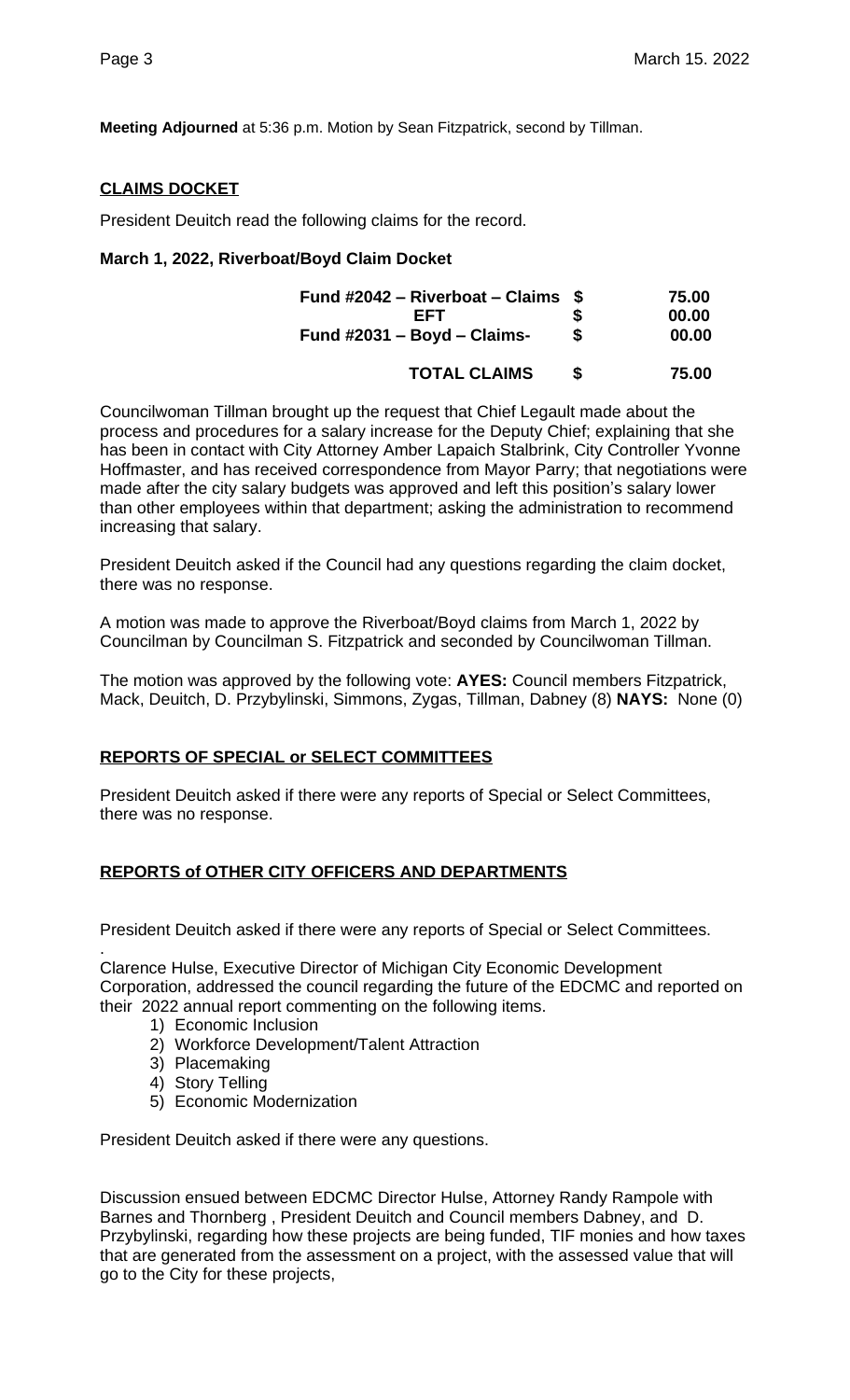**Meeting Adjourned** at 5:36 p.m. Motion by Sean Fitzpatrick, second by Tillman.

## **CLAIMS DOCKET**

President Deuitch read the following claims for the record.

## **March 1, 2022, Riverboat/Boyd Claim Docket**

| Fund #2042 – Riverboat – Claims $$$ |   | 75.00 |
|-------------------------------------|---|-------|
| <b>FFT</b>                          | S | 00.00 |
| Fund $\#2031 - Boyd - Claims$ -     | S | 00.00 |
| <b>TOTAL CLAIMS</b>                 | S | 75.00 |

Councilwoman Tillman brought up the request that Chief Legault made about the process and procedures for a salary increase for the Deputy Chief; explaining that she has been in contact with City Attorney Amber Lapaich Stalbrink, City Controller Yvonne Hoffmaster, and has received correspondence from Mayor Parry; that negotiations were made after the city salary budgets was approved and left this position's salary lower than other employees within that department; asking the administration to recommend increasing that salary.

President Deuitch asked if the Council had any questions regarding the claim docket, there was no response.

A motion was made to approve the Riverboat/Boyd claims from March 1, 2022 by Councilman by Councilman S. Fitzpatrick and seconded by Councilwoman Tillman.

The motion was approved by the following vote: **AYES:** Council members Fitzpatrick, Mack, Deuitch, D. Przybylinski, Simmons, Zygas, Tillman, Dabney (8) **NAYS:** None (0)

## **REPORTS OF SPECIAL or SELECT COMMITTEES**

President Deuitch asked if there were any reports of Special or Select Committees, there was no response.

## **REPORTS of OTHER CITY OFFICERS AND DEPARTMENTS**

President Deuitch asked if there were any reports of Special or Select Committees.

Clarence Hulse, Executive Director of Michigan City Economic Development Corporation, addressed the council regarding the future of the EDCMC and reported on their 2022 annual report commenting on the following items.

- 1) Economic Inclusion
- 2) Workforce Development/Talent Attraction
- 3) Placemaking
- 4) Story Telling

.

5) Economic Modernization

President Deuitch asked if there were any questions.

Discussion ensued between EDCMC Director Hulse, Attorney Randy Rampole with Barnes and Thornberg , President Deuitch and Council members Dabney, and D. Przybylinski, regarding how these projects are being funded, TIF monies and how taxes that are generated from the assessment on a project, with the assessed value that will go to the City for these projects,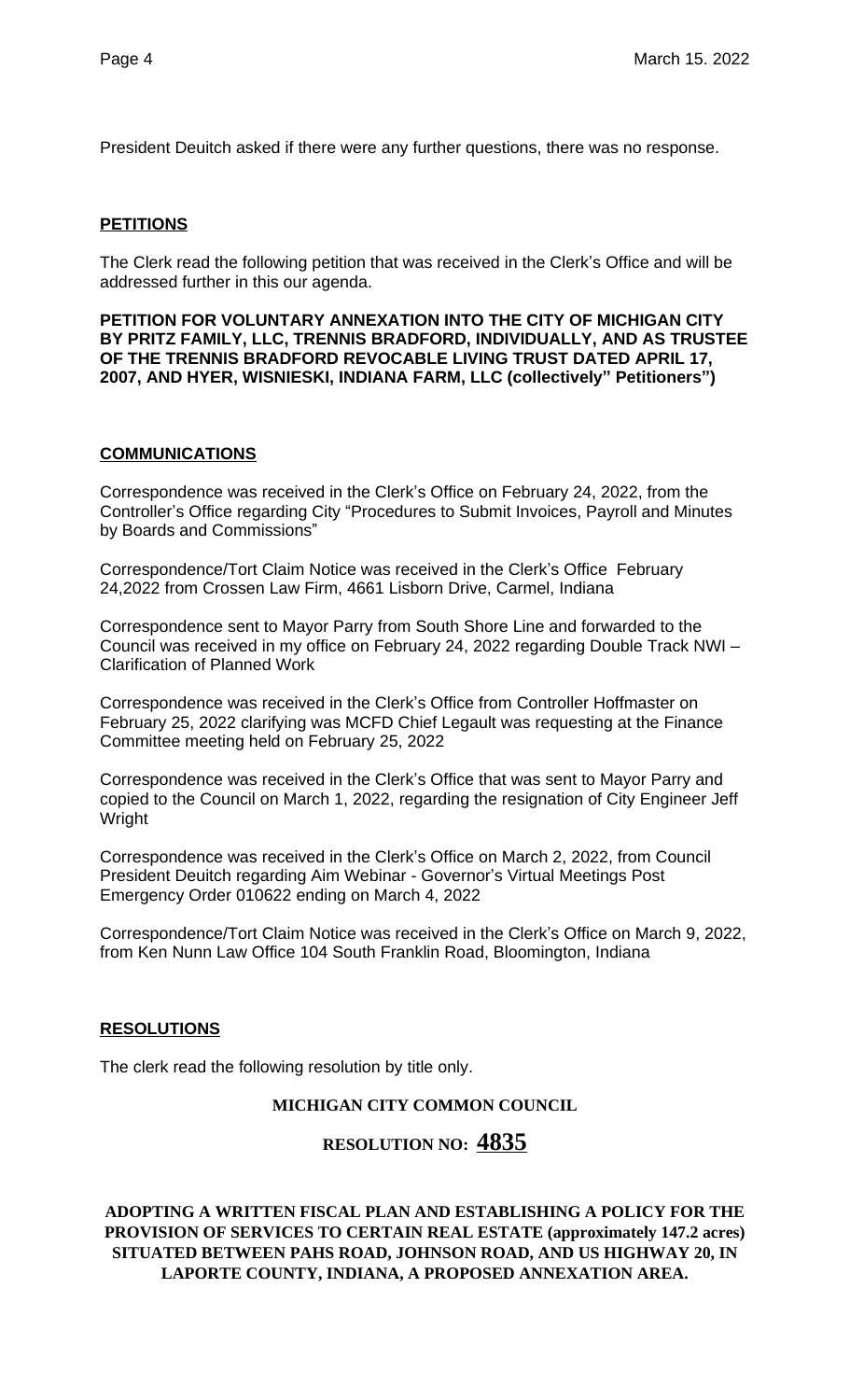President Deuitch asked if there were any further questions, there was no response.

## **PETITIONS**

The Clerk read the following petition that was received in the Clerk's Office and will be addressed further in this our agenda.

**PETITION FOR VOLUNTARY ANNEXATION INTO THE CITY OF MICHIGAN CITY BY PRITZ FAMILY, LLC, TRENNIS BRADFORD, INDIVIDUALLY, AND AS TRUSTEE OF THE TRENNIS BRADFORD REVOCABLE LIVING TRUST DATED APRIL 17, 2007, AND HYER, WISNIESKI, INDIANA FARM, LLC (collectively" Petitioners")**

## **COMMUNICATIONS**

Correspondence was received in the Clerk's Office on February 24, 2022, from the Controller's Office regarding City "Procedures to Submit Invoices, Payroll and Minutes by Boards and Commissions"

Correspondence/Tort Claim Notice was received in the Clerk's Office February 24,2022 from Crossen Law Firm, 4661 Lisborn Drive, Carmel, Indiana

Correspondence sent to Mayor Parry from South Shore Line and forwarded to the Council was received in my office on February 24, 2022 regarding Double Track NWI – Clarification of Planned Work

Correspondence was received in the Clerk's Office from Controller Hoffmaster on February 25, 2022 clarifying was MCFD Chief Legault was requesting at the Finance Committee meeting held on February 25, 2022

Correspondence was received in the Clerk's Office that was sent to Mayor Parry and copied to the Council on March 1, 2022, regarding the resignation of City Engineer Jeff Wright

Correspondence was received in the Clerk's Office on March 2, 2022, from Council President Deuitch regarding Aim Webinar - Governor's Virtual Meetings Post Emergency Order 010622 ending on March 4, 2022

Correspondence/Tort Claim Notice was received in the Clerk's Office on March 9, 2022, from Ken Nunn Law Office 104 South Franklin Road, Bloomington, Indiana

## **RESOLUTIONS**

The clerk read the following resolution by title only.

## **MICHIGAN CITY COMMON COUNCIL**

## **RESOLUTION NO: 4835**

**ADOPTING A WRITTEN FISCAL PLAN AND ESTABLISHING A POLICY FOR THE PROVISION OF SERVICES TO CERTAIN REAL ESTATE (approximately 147.2 acres) SITUATED BETWEEN PAHS ROAD, JOHNSON ROAD, AND US HIGHWAY 20, IN LAPORTE COUNTY, INDIANA, A PROPOSED ANNEXATION AREA.**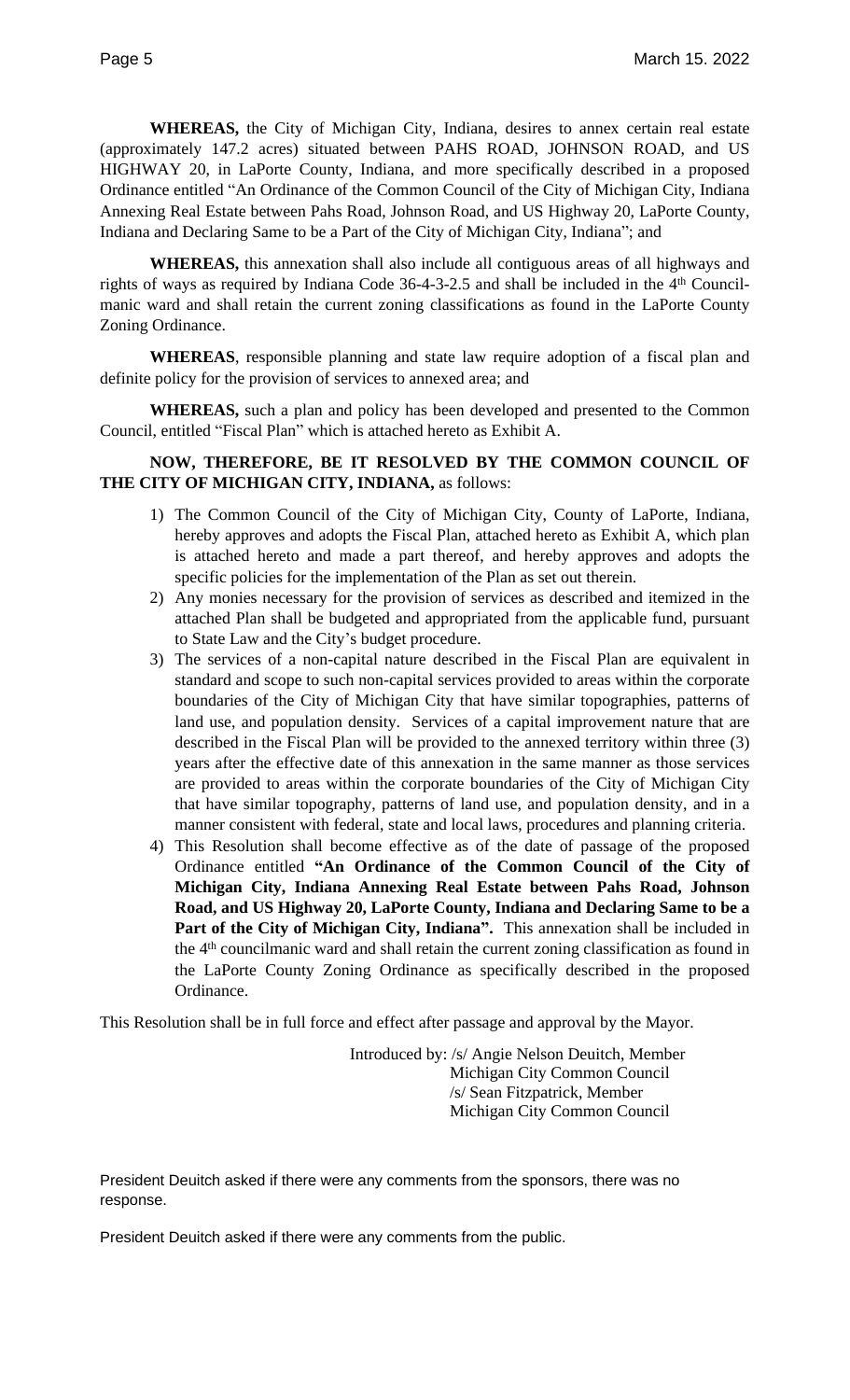**WHEREAS,** the City of Michigan City, Indiana, desires to annex certain real estate (approximately 147.2 acres) situated between PAHS ROAD, JOHNSON ROAD, and US HIGHWAY 20, in LaPorte County, Indiana, and more specifically described in a proposed Ordinance entitled "An Ordinance of the Common Council of the City of Michigan City, Indiana Annexing Real Estate between Pahs Road, Johnson Road, and US Highway 20, LaPorte County, Indiana and Declaring Same to be a Part of the City of Michigan City, Indiana"; and

**WHEREAS,** this annexation shall also include all contiguous areas of all highways and rights of ways as required by Indiana Code 36-4-3-2.5 and shall be included in the 4<sup>th</sup> Councilmanic ward and shall retain the current zoning classifications as found in the LaPorte County Zoning Ordinance.

**WHEREAS**, responsible planning and state law require adoption of a fiscal plan and definite policy for the provision of services to annexed area; and

**WHEREAS,** such a plan and policy has been developed and presented to the Common Council, entitled "Fiscal Plan" which is attached hereto as Exhibit A.

## **NOW, THEREFORE, BE IT RESOLVED BY THE COMMON COUNCIL OF THE CITY OF MICHIGAN CITY, INDIANA,** as follows:

- 1) The Common Council of the City of Michigan City, County of LaPorte, Indiana, hereby approves and adopts the Fiscal Plan, attached hereto as Exhibit A, which plan is attached hereto and made a part thereof, and hereby approves and adopts the specific policies for the implementation of the Plan as set out therein.
- 2) Any monies necessary for the provision of services as described and itemized in the attached Plan shall be budgeted and appropriated from the applicable fund, pursuant to State Law and the City's budget procedure.
- 3) The services of a non-capital nature described in the Fiscal Plan are equivalent in standard and scope to such non-capital services provided to areas within the corporate boundaries of the City of Michigan City that have similar topographies, patterns of land use, and population density. Services of a capital improvement nature that are described in the Fiscal Plan will be provided to the annexed territory within three (3) years after the effective date of this annexation in the same manner as those services are provided to areas within the corporate boundaries of the City of Michigan City that have similar topography, patterns of land use, and population density, and in a manner consistent with federal, state and local laws, procedures and planning criteria.
- 4) This Resolution shall become effective as of the date of passage of the proposed Ordinance entitled **"An Ordinance of the Common Council of the City of Michigan City, Indiana Annexing Real Estate between Pahs Road, Johnson Road, and US Highway 20, LaPorte County, Indiana and Declaring Same to be a Part of the City of Michigan City, Indiana".** This annexation shall be included in the 4<sup>th</sup> councilmanic ward and shall retain the current zoning classification as found in the LaPorte County Zoning Ordinance as specifically described in the proposed Ordinance.

This Resolution shall be in full force and effect after passage and approval by the Mayor.

Introduced by: /s/ Angie Nelson Deuitch, Member Michigan City Common Council /s/ Sean Fitzpatrick, Member Michigan City Common Council

President Deuitch asked if there were any comments from the sponsors, there was no response.

President Deuitch asked if there were any comments from the public.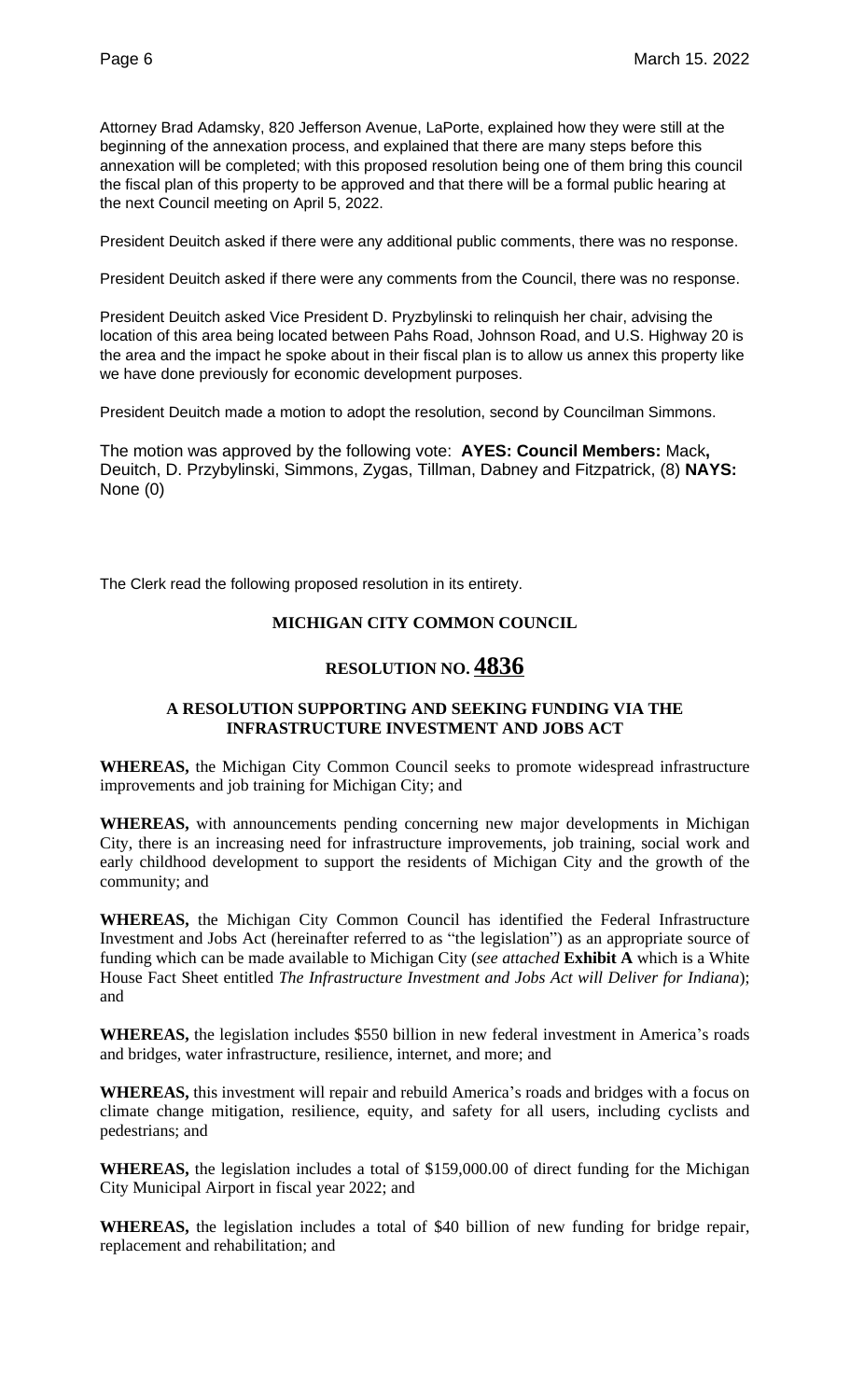Attorney Brad Adamsky, 820 Jefferson Avenue, LaPorte, explained how they were still at the beginning of the annexation process, and explained that there are many steps before this annexation will be completed; with this proposed resolution being one of them bring this council the fiscal plan of this property to be approved and that there will be a formal public hearing at the next Council meeting on April 5, 2022.

President Deuitch asked if there were any additional public comments, there was no response.

President Deuitch asked if there were any comments from the Council, there was no response.

President Deuitch asked Vice President D. Pryzbylinski to relinquish her chair, advising the location of this area being located between Pahs Road, Johnson Road, and U.S. Highway 20 is the area and the impact he spoke about in their fiscal plan is to allow us annex this property like we have done previously for economic development purposes.

President Deuitch made a motion to adopt the resolution, second by Councilman Simmons.

The motion was approved by the following vote: **AYES: Council Members:** Mack**,**  Deuitch, D. Przybylinski, Simmons, Zygas, Tillman, Dabney and Fitzpatrick, (8) **NAYS:**  None (0)

The Clerk read the following proposed resolution in its entirety.

## **MICHIGAN CITY COMMON COUNCIL**

# **RESOLUTION NO. 4836**

## **A RESOLUTION SUPPORTING AND SEEKING FUNDING VIA THE INFRASTRUCTURE INVESTMENT AND JOBS ACT**

**WHEREAS,** the Michigan City Common Council seeks to promote widespread infrastructure improvements and job training for Michigan City; and

**WHEREAS,** with announcements pending concerning new major developments in Michigan City, there is an increasing need for infrastructure improvements, job training, social work and early childhood development to support the residents of Michigan City and the growth of the community; and

**WHEREAS,** the Michigan City Common Council has identified the Federal Infrastructure Investment and Jobs Act (hereinafter referred to as "the legislation") as an appropriate source of funding which can be made available to Michigan City (*see attached* **Exhibit A** which is a White House Fact Sheet entitled *The Infrastructure Investment and Jobs Act will Deliver for Indiana*); and

**WHEREAS,** the legislation includes \$550 billion in new federal investment in America's roads and bridges, water infrastructure, resilience, internet, and more; and

**WHEREAS,** this investment will repair and rebuild America's roads and bridges with a focus on climate change mitigation, resilience, equity, and safety for all users, including cyclists and pedestrians; and

**WHEREAS,** the legislation includes a total of \$159,000.00 of direct funding for the Michigan City Municipal Airport in fiscal year 2022; and

**WHEREAS,** the legislation includes a total of \$40 billion of new funding for bridge repair, replacement and rehabilitation; and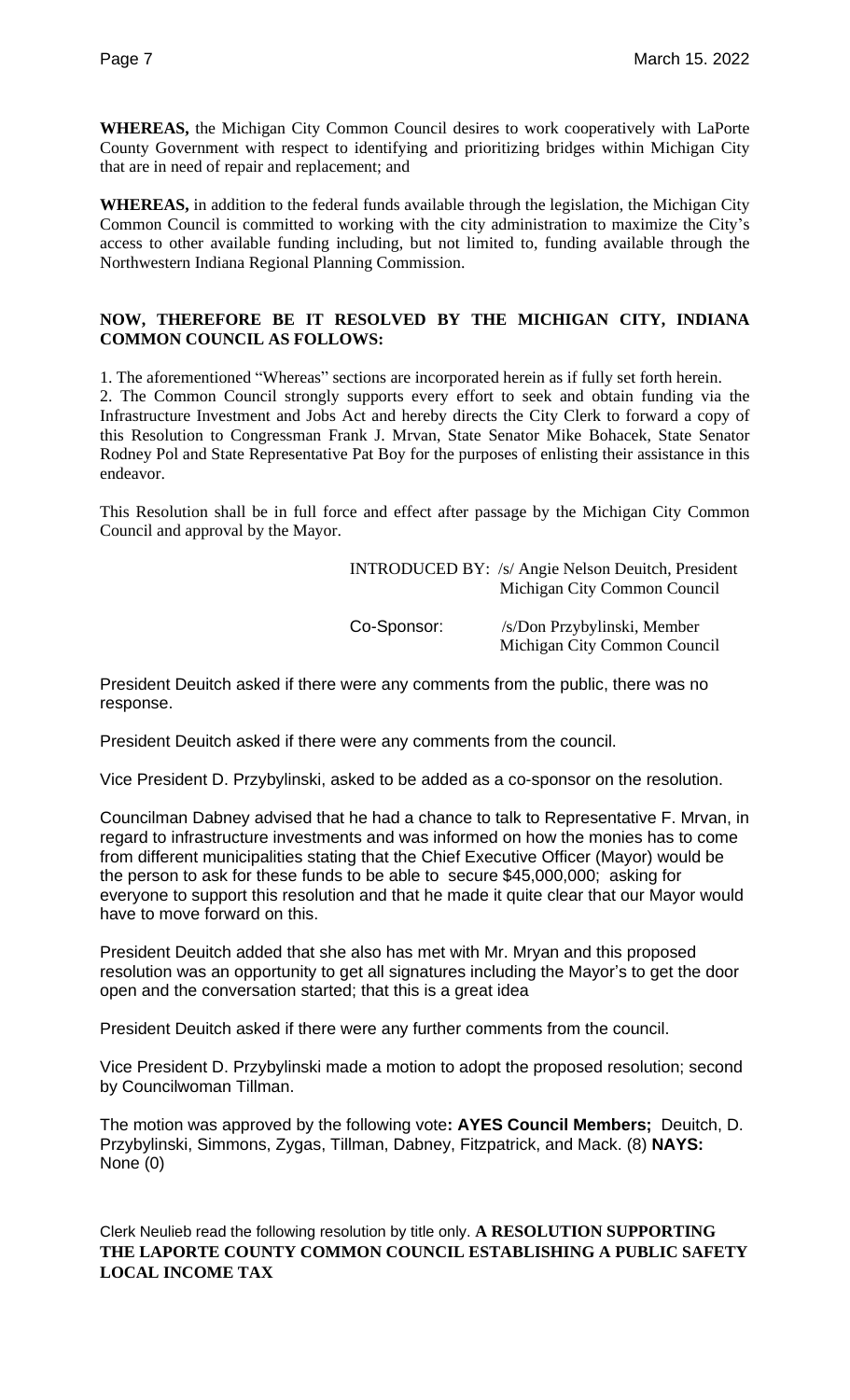**WHEREAS,** the Michigan City Common Council desires to work cooperatively with LaPorte County Government with respect to identifying and prioritizing bridges within Michigan City that are in need of repair and replacement; and

**WHEREAS,** in addition to the federal funds available through the legislation, the Michigan City Common Council is committed to working with the city administration to maximize the City's access to other available funding including, but not limited to, funding available through the Northwestern Indiana Regional Planning Commission.

## **NOW, THEREFORE BE IT RESOLVED BY THE MICHIGAN CITY, INDIANA COMMON COUNCIL AS FOLLOWS:**

1. The aforementioned "Whereas" sections are incorporated herein as if fully set forth herein. 2. The Common Council strongly supports every effort to seek and obtain funding via the Infrastructure Investment and Jobs Act and hereby directs the City Clerk to forward a copy of this Resolution to Congressman Frank J. Mrvan, State Senator Mike Bohacek, State Senator Rodney Pol and State Representative Pat Boy for the purposes of enlisting their assistance in this endeavor.

This Resolution shall be in full force and effect after passage by the Michigan City Common Council and approval by the Mayor.

|             | <b>INTRODUCED BY:</b> /s/ Angie Nelson Deuitch, President<br>Michigan City Common Council |
|-------------|-------------------------------------------------------------------------------------------|
| Co-Sponsor: | /s/Don Przybylinski, Member<br>Michigan City Common Council                               |

President Deuitch asked if there were any comments from the public, there was no response.

President Deuitch asked if there were any comments from the council.

Vice President D. Przybylinski, asked to be added as a co-sponsor on the resolution.

Councilman Dabney advised that he had a chance to talk to Representative F. Mrvan, in regard to infrastructure investments and was informed on how the monies has to come from different municipalities stating that the Chief Executive Officer (Mayor) would be the person to ask for these funds to be able to secure \$45,000,000; asking for everyone to support this resolution and that he made it quite clear that our Mayor would have to move forward on this.

President Deuitch added that she also has met with Mr. Mryan and this proposed resolution was an opportunity to get all signatures including the Mayor's to get the door open and the conversation started; that this is a great idea

President Deuitch asked if there were any further comments from the council.

Vice President D. Przybylinski made a motion to adopt the proposed resolution; second by Councilwoman Tillman.

The motion was approved by the following vote**: AYES Council Members;** Deuitch, D. Przybylinski, Simmons, Zygas, Tillman, Dabney, Fitzpatrick, and Mack. (8) **NAYS:**  None (0)

Clerk Neulieb read the following resolution by title only. **A RESOLUTION SUPPORTING THE LAPORTE COUNTY COMMON COUNCIL ESTABLISHING A PUBLIC SAFETY LOCAL INCOME TAX**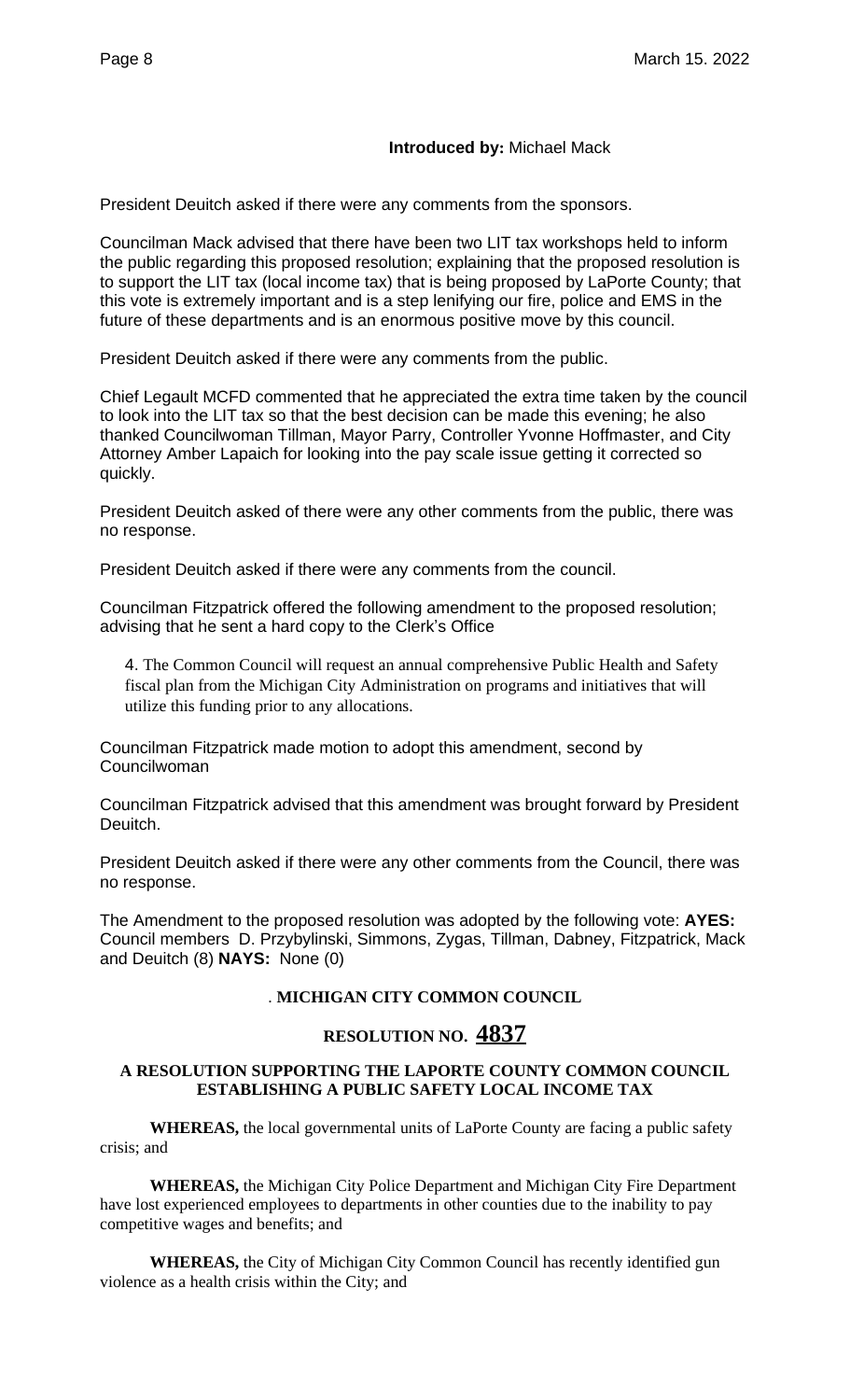## **Introduced by:** Michael Mack

President Deuitch asked if there were any comments from the sponsors.

Councilman Mack advised that there have been two LIT tax workshops held to inform the public regarding this proposed resolution; explaining that the proposed resolution is to support the LIT tax (local income tax) that is being proposed by LaPorte County; that this vote is extremely important and is a step lenifying our fire, police and EMS in the future of these departments and is an enormous positive move by this council.

President Deuitch asked if there were any comments from the public.

Chief Legault MCFD commented that he appreciated the extra time taken by the council to look into the LIT tax so that the best decision can be made this evening; he also thanked Councilwoman Tillman, Mayor Parry, Controller Yvonne Hoffmaster, and City Attorney Amber Lapaich for looking into the pay scale issue getting it corrected so quickly.

President Deuitch asked of there were any other comments from the public, there was no response.

President Deuitch asked if there were any comments from the council.

Councilman Fitzpatrick offered the following amendment to the proposed resolution; advising that he sent a hard copy to the Clerk's Office

4. The Common Council will request an annual comprehensive Public Health and Safety fiscal plan from the Michigan City Administration on programs and initiatives that will utilize this funding prior to any allocations.

Councilman Fitzpatrick made motion to adopt this amendment, second by Councilwoman

Councilman Fitzpatrick advised that this amendment was brought forward by President Deuitch.

President Deuitch asked if there were any other comments from the Council, there was no response.

The Amendment to the proposed resolution was adopted by the following vote: **AYES:** Council members D. Przybylinski, Simmons, Zygas, Tillman, Dabney, Fitzpatrick, Mack and Deuitch (8) **NAYS:** None (0)

## . **MICHIGAN CITY COMMON COUNCIL**

## **RESOLUTION NO. 4837**

## **A RESOLUTION SUPPORTING THE LAPORTE COUNTY COMMON COUNCIL ESTABLISHING A PUBLIC SAFETY LOCAL INCOME TAX**

**WHEREAS,** the local governmental units of LaPorte County are facing a public safety crisis; and

**WHEREAS,** the Michigan City Police Department and Michigan City Fire Department have lost experienced employees to departments in other counties due to the inability to pay competitive wages and benefits; and

**WHEREAS,** the City of Michigan City Common Council has recently identified gun violence as a health crisis within the City; and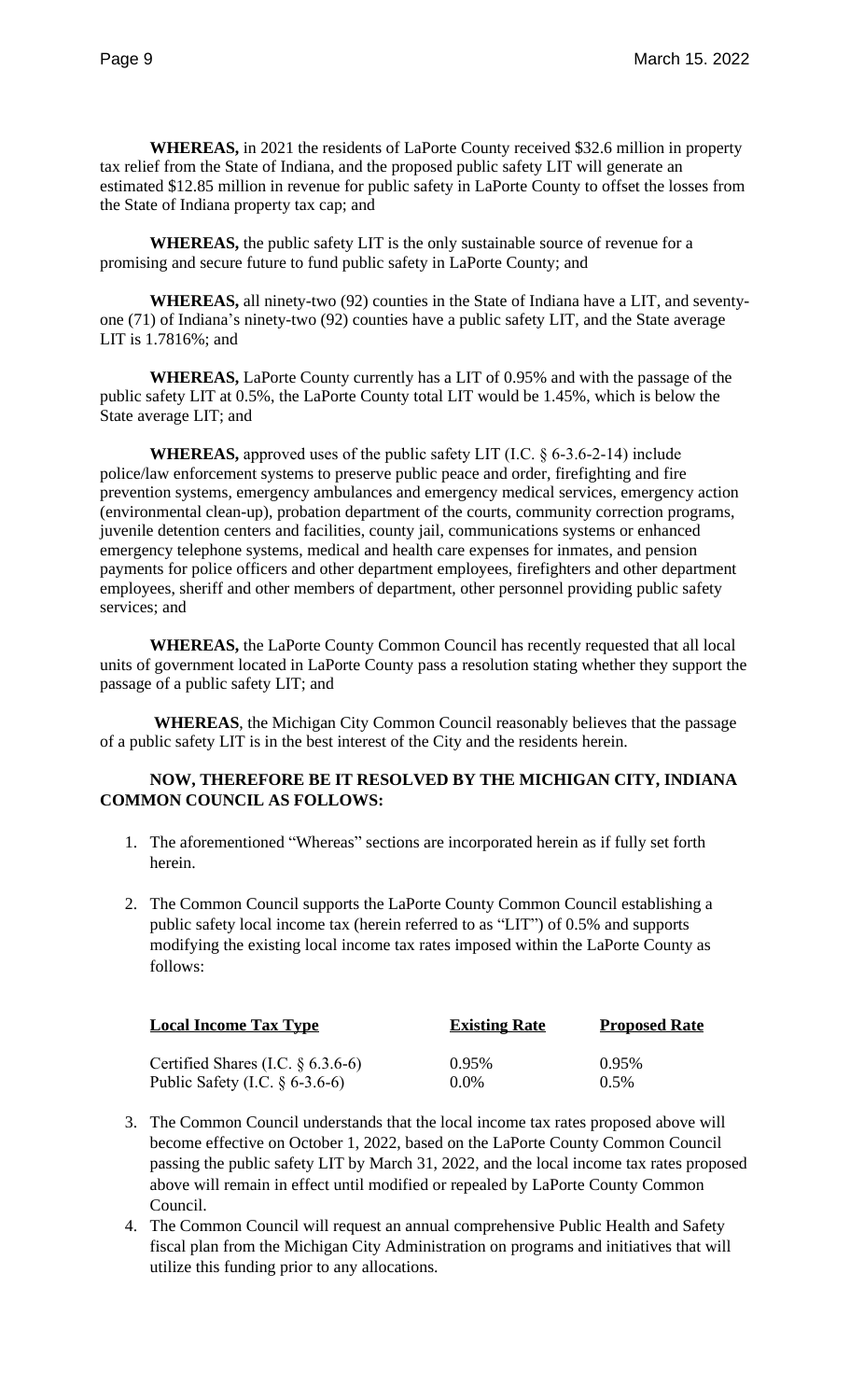**WHEREAS,** in 2021 the residents of LaPorte County received \$32.6 million in property tax relief from the State of Indiana, and the proposed public safety LIT will generate an estimated \$12.85 million in revenue for public safety in LaPorte County to offset the losses from the State of Indiana property tax cap; and

**WHEREAS,** the public safety LIT is the only sustainable source of revenue for a promising and secure future to fund public safety in LaPorte County; and

**WHEREAS,** all ninety-two (92) counties in the State of Indiana have a LIT, and seventyone (71) of Indiana's ninety-two (92) counties have a public safety LIT, and the State average LIT is 1.7816%; and

**WHEREAS,** LaPorte County currently has a LIT of 0.95% and with the passage of the public safety LIT at 0.5%, the LaPorte County total LIT would be 1.45%, which is below the State average LIT; and

**WHEREAS,** approved uses of the public safety LIT (I.C. § 6-3.6-2-14) include police/law enforcement systems to preserve public peace and order, firefighting and fire prevention systems, emergency ambulances and emergency medical services, emergency action (environmental clean-up), probation department of the courts, community correction programs, juvenile detention centers and facilities, county jail, communications systems or enhanced emergency telephone systems, medical and health care expenses for inmates, and pension payments for police officers and other department employees, firefighters and other department employees, sheriff and other members of department, other personnel providing public safety services; and

**WHEREAS,** the LaPorte County Common Council has recently requested that all local units of government located in LaPorte County pass a resolution stating whether they support the passage of a public safety LIT; and

**WHEREAS**, the Michigan City Common Council reasonably believes that the passage of a public safety LIT is in the best interest of the City and the residents herein.

## **NOW, THEREFORE BE IT RESOLVED BY THE MICHIGAN CITY, INDIANA COMMON COUNCIL AS FOLLOWS:**

- 1. The aforementioned "Whereas" sections are incorporated herein as if fully set forth herein.
- 2. The Common Council supports the LaPorte County Common Council establishing a public safety local income tax (herein referred to as "LIT") of 0.5% and supports modifying the existing local income tax rates imposed within the LaPorte County as follows:

| <b>Local Income Tax Type</b>         | <b>Existing Rate</b> | <b>Proposed Rate</b> |
|--------------------------------------|----------------------|----------------------|
| Certified Shares (I.C. $\S$ 6.3.6-6) | $0.95\%$             | 0.95%                |
| Public Safety (I.C. $\S$ 6-3.6-6)    | $0.0\%$              | 0.5%                 |

- 3. The Common Council understands that the local income tax rates proposed above will become effective on October 1, 2022, based on the LaPorte County Common Council passing the public safety LIT by March 31, 2022, and the local income tax rates proposed above will remain in effect until modified or repealed by LaPorte County Common Council.
- 4. The Common Council will request an annual comprehensive Public Health and Safety fiscal plan from the Michigan City Administration on programs and initiatives that will utilize this funding prior to any allocations.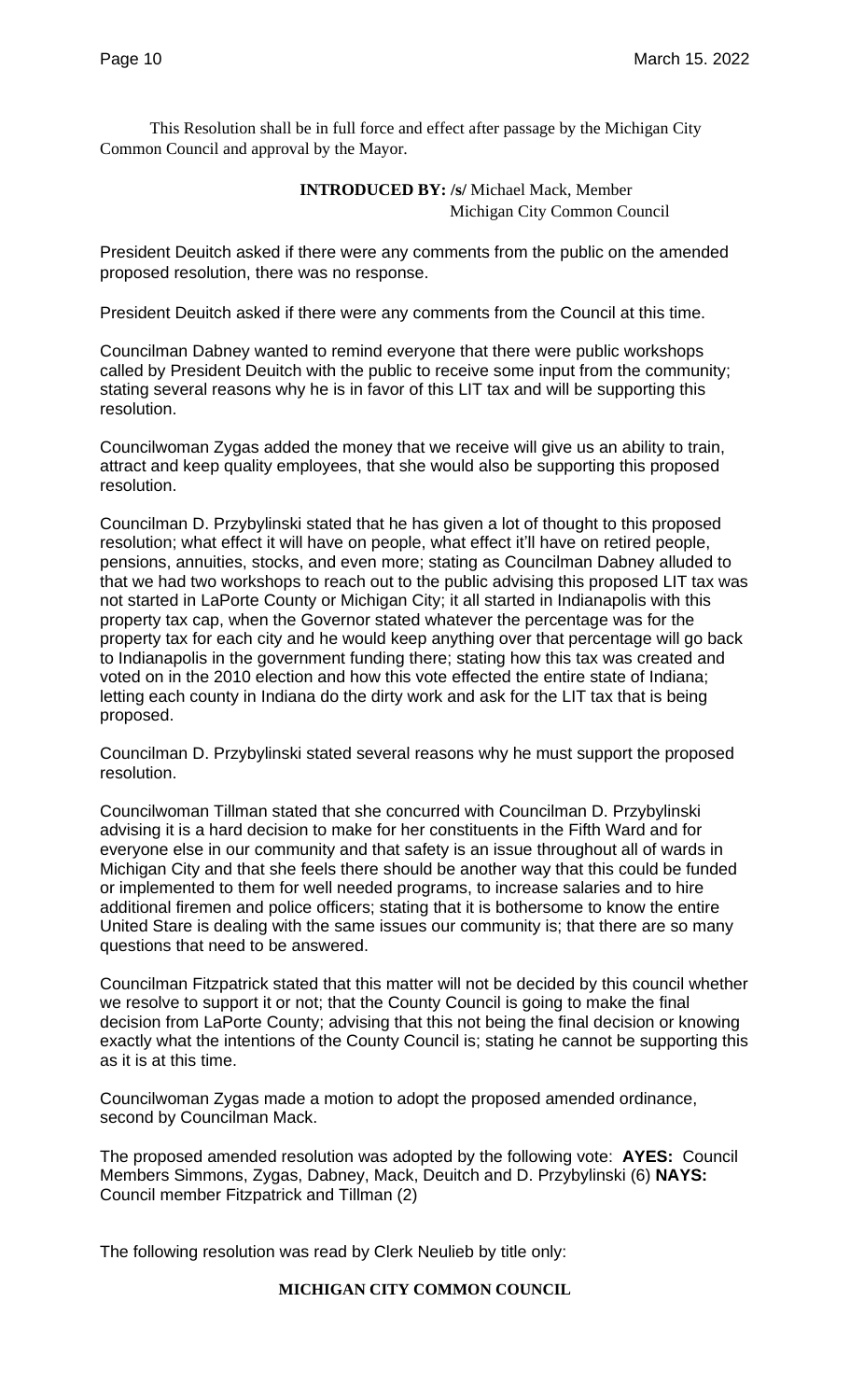This Resolution shall be in full force and effect after passage by the Michigan City Common Council and approval by the Mayor.

## **INTRODUCED BY: /s/** Michael Mack, Member Michigan City Common Council

President Deuitch asked if there were any comments from the public on the amended proposed resolution, there was no response.

President Deuitch asked if there were any comments from the Council at this time.

Councilman Dabney wanted to remind everyone that there were public workshops called by President Deuitch with the public to receive some input from the community; stating several reasons why he is in favor of this LIT tax and will be supporting this resolution.

Councilwoman Zygas added the money that we receive will give us an ability to train, attract and keep quality employees, that she would also be supporting this proposed resolution.

Councilman D. Przybylinski stated that he has given a lot of thought to this proposed resolution; what effect it will have on people, what effect it'll have on retired people, pensions, annuities, stocks, and even more; stating as Councilman Dabney alluded to that we had two workshops to reach out to the public advising this proposed LIT tax was not started in LaPorte County or Michigan City; it all started in Indianapolis with this property tax cap, when the Governor stated whatever the percentage was for the property tax for each city and he would keep anything over that percentage will go back to Indianapolis in the government funding there; stating how this tax was created and voted on in the 2010 election and how this vote effected the entire state of Indiana; letting each county in Indiana do the dirty work and ask for the LIT tax that is being proposed.

Councilman D. Przybylinski stated several reasons why he must support the proposed resolution.

Councilwoman Tillman stated that she concurred with Councilman D. Przybylinski advising it is a hard decision to make for her constituents in the Fifth Ward and for everyone else in our community and that safety is an issue throughout all of wards in Michigan City and that she feels there should be another way that this could be funded or implemented to them for well needed programs, to increase salaries and to hire additional firemen and police officers; stating that it is bothersome to know the entire United Stare is dealing with the same issues our community is; that there are so many questions that need to be answered.

Councilman Fitzpatrick stated that this matter will not be decided by this council whether we resolve to support it or not; that the County Council is going to make the final decision from LaPorte County; advising that this not being the final decision or knowing exactly what the intentions of the County Council is; stating he cannot be supporting this as it is at this time.

Councilwoman Zygas made a motion to adopt the proposed amended ordinance, second by Councilman Mack.

The proposed amended resolution was adopted by the following vote: **AYES:** Council Members Simmons, Zygas, Dabney, Mack, Deuitch and D. Przybylinski (6) **NAYS:**  Council member Fitzpatrick and Tillman (2)

The following resolution was read by Clerk Neulieb by title only:

## **MICHIGAN CITY COMMON COUNCIL**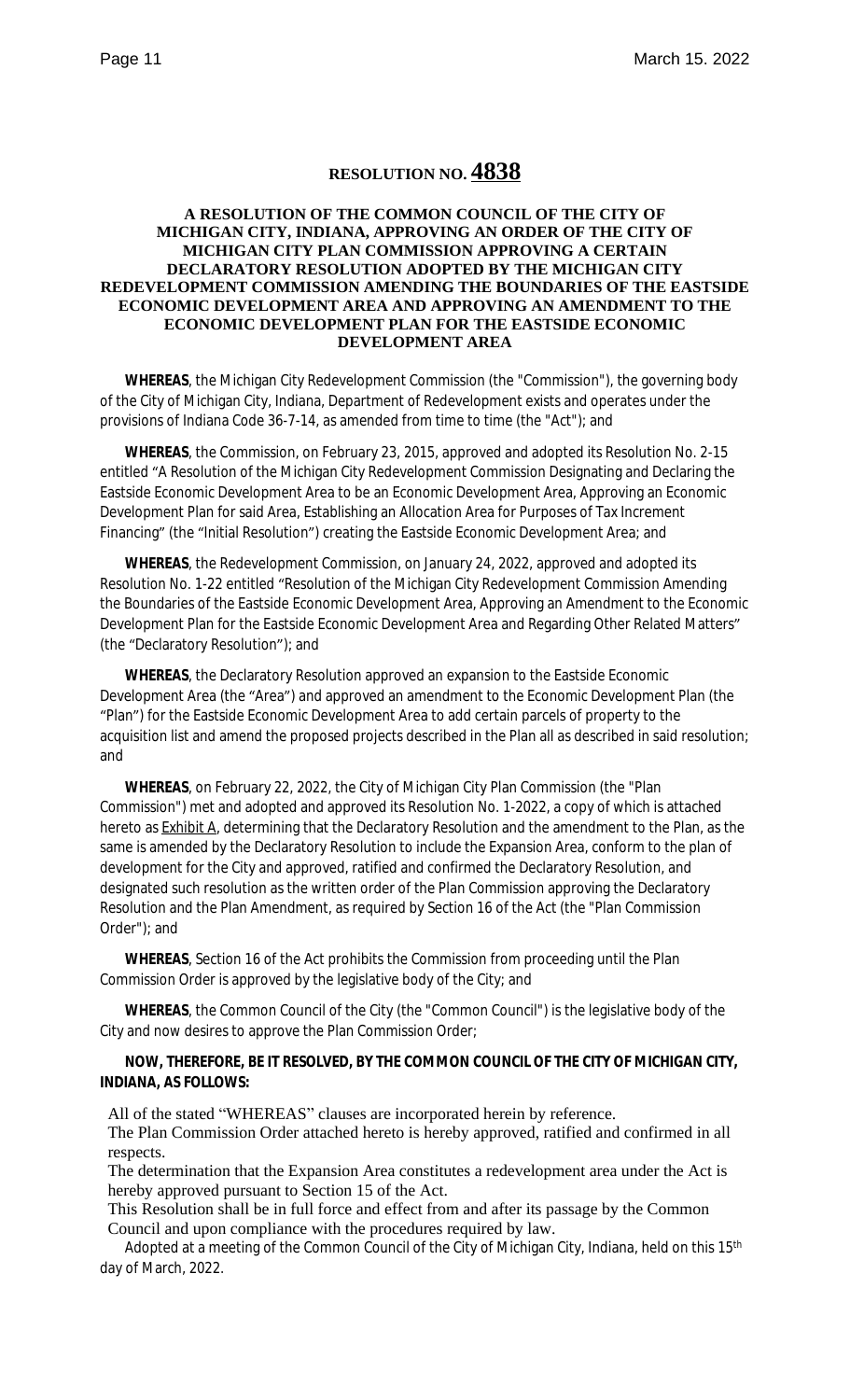# **RESOLUTION NO. 4838**

#### **A RESOLUTION OF THE COMMON COUNCIL OF THE CITY OF MICHIGAN CITY, INDIANA, APPROVING AN ORDER OF THE CITY OF MICHIGAN CITY PLAN COMMISSION APPROVING A CERTAIN DECLARATORY RESOLUTION ADOPTED BY THE MICHIGAN CITY REDEVELOPMENT COMMISSION AMENDING THE BOUNDARIES OF THE EASTSIDE ECONOMIC DEVELOPMENT AREA AND APPROVING AN AMENDMENT TO THE ECONOMIC DEVELOPMENT PLAN FOR THE EASTSIDE ECONOMIC DEVELOPMENT AREA**

**WHEREAS**, the Michigan City Redevelopment Commission (the "Commission"), the governing body of the City of Michigan City, Indiana, Department of Redevelopment exists and operates under the provisions of Indiana Code 36-7-14, as amended from time to time (the "Act"); and

**WHEREAS**, the Commission, on February 23, 2015, approved and adopted its Resolution No. 2-15 entitled "A Resolution of the Michigan City Redevelopment Commission Designating and Declaring the Eastside Economic Development Area to be an Economic Development Area, Approving an Economic Development Plan for said Area, Establishing an Allocation Area for Purposes of Tax Increment Financing" (the "Initial Resolution") creating the Eastside Economic Development Area; and

**WHEREAS**, the Redevelopment Commission, on January 24, 2022, approved and adopted its Resolution No. 1-22 entitled "Resolution of the Michigan City Redevelopment Commission Amending the Boundaries of the Eastside Economic Development Area, Approving an Amendment to the Economic Development Plan for the Eastside Economic Development Area and Regarding Other Related Matters" (the "Declaratory Resolution"); and

**WHEREAS**, the Declaratory Resolution approved an expansion to the Eastside Economic Development Area (the "Area") and approved an amendment to the Economic Development Plan (the "Plan") for the Eastside Economic Development Area to add certain parcels of property to the acquisition list and amend the proposed projects described in the Plan all as described in said resolution; and

**WHEREAS**, on February 22, 2022, the City of Michigan City Plan Commission (the "Plan Commission") met and adopted and approved its Resolution No. 1-2022, a copy of which is attached hereto as **Exhibit A**, determining that the Declaratory Resolution and the amendment to the Plan, as the same is amended by the Declaratory Resolution to include the Expansion Area, conform to the plan of development for the City and approved, ratified and confirmed the Declaratory Resolution, and designated such resolution as the written order of the Plan Commission approving the Declaratory Resolution and the Plan Amendment, as required by Section 16 of the Act (the "Plan Commission Order"); and

**WHEREAS**, Section 16 of the Act prohibits the Commission from proceeding until the Plan Commission Order is approved by the legislative body of the City; and

**WHEREAS**, the Common Council of the City (the "Common Council") is the legislative body of the City and now desires to approve the Plan Commission Order;

#### **NOW, THEREFORE, BE IT RESOLVED, BY THE COMMON COUNCIL OF THE CITY OF MICHIGAN CITY, INDIANA, AS FOLLOWS:**

All of the stated "WHEREAS" clauses are incorporated herein by reference.

The Plan Commission Order attached hereto is hereby approved, ratified and confirmed in all respects.

The determination that the Expansion Area constitutes a redevelopment area under the Act is hereby approved pursuant to Section 15 of the Act.

This Resolution shall be in full force and effect from and after its passage by the Common Council and upon compliance with the procedures required by law.

Adopted at a meeting of the Common Council of the City of Michigan City, Indiana, held on this 15<sup>th</sup> day of March, 2022.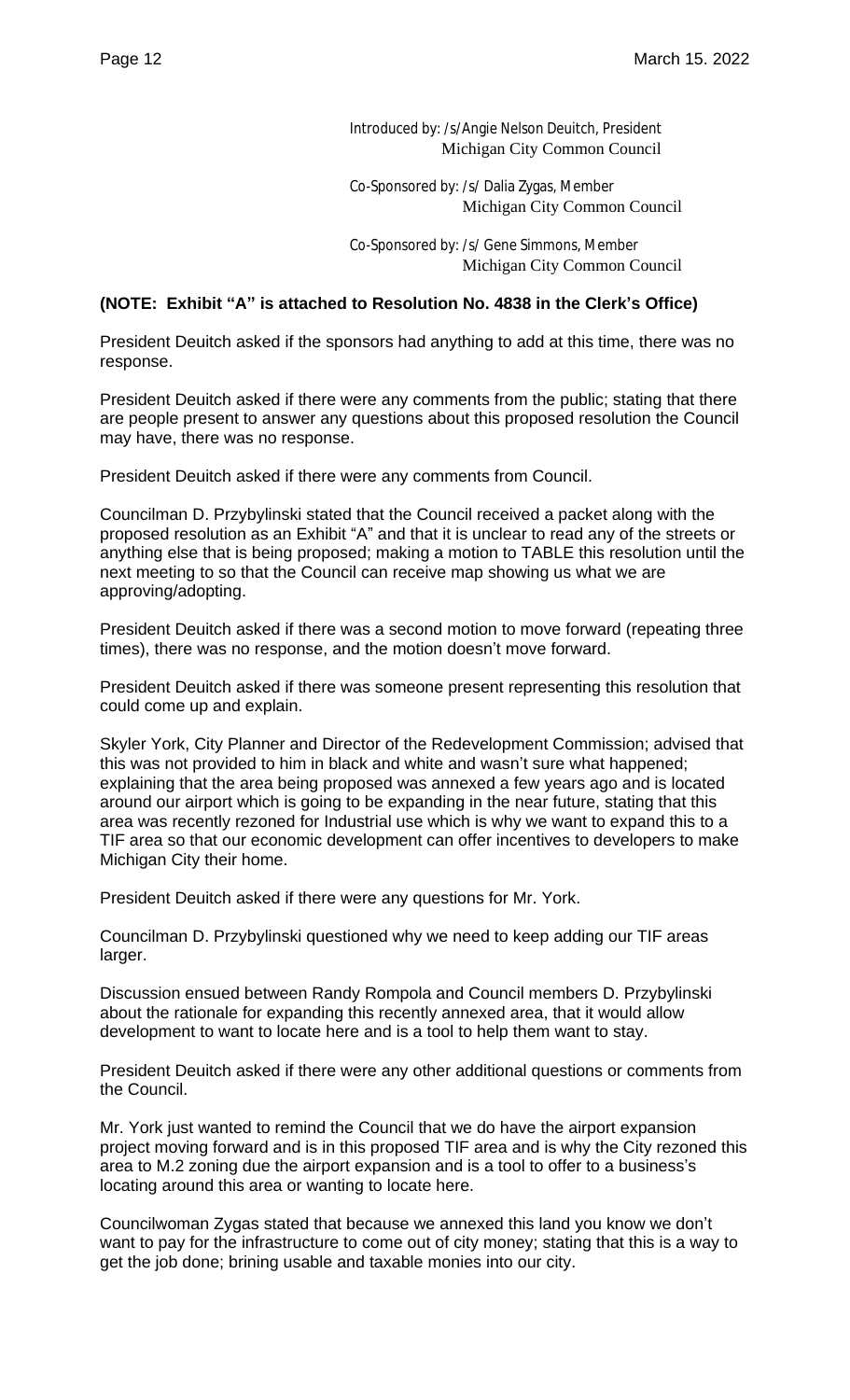Introduced by: /s/Angie Nelson Deuitch, President Michigan City Common Council

Co-Sponsored by: /s/ Dalia Zygas, Member Michigan City Common Council

Co-Sponsored by: /s/ Gene Simmons, Member Michigan City Common Council

## **(NOTE: Exhibit "A" is attached to Resolution No. 4838 in the Clerk's Office)**

President Deuitch asked if the sponsors had anything to add at this time, there was no response.

President Deuitch asked if there were any comments from the public; stating that there are people present to answer any questions about this proposed resolution the Council may have, there was no response.

President Deuitch asked if there were any comments from Council.

Councilman D. Przybylinski stated that the Council received a packet along with the proposed resolution as an Exhibit "A" and that it is unclear to read any of the streets or anything else that is being proposed; making a motion to TABLE this resolution until the next meeting to so that the Council can receive map showing us what we are approving/adopting.

President Deuitch asked if there was a second motion to move forward (repeating three times), there was no response, and the motion doesn't move forward.

President Deuitch asked if there was someone present representing this resolution that could come up and explain.

Skyler York, City Planner and Director of the Redevelopment Commission; advised that this was not provided to him in black and white and wasn't sure what happened; explaining that the area being proposed was annexed a few years ago and is located around our airport which is going to be expanding in the near future, stating that this area was recently rezoned for Industrial use which is why we want to expand this to a TIF area so that our economic development can offer incentives to developers to make Michigan City their home.

President Deuitch asked if there were any questions for Mr. York.

Councilman D. Przybylinski questioned why we need to keep adding our TIF areas larger.

Discussion ensued between Randy Rompola and Council members D. Przybylinski about the rationale for expanding this recently annexed area, that it would allow development to want to locate here and is a tool to help them want to stay.

President Deuitch asked if there were any other additional questions or comments from the Council.

Mr. York just wanted to remind the Council that we do have the airport expansion project moving forward and is in this proposed TIF area and is why the City rezoned this area to M.2 zoning due the airport expansion and is a tool to offer to a business's locating around this area or wanting to locate here.

Councilwoman Zygas stated that because we annexed this land you know we don't want to pay for the infrastructure to come out of city money; stating that this is a way to get the job done; brining usable and taxable monies into our city.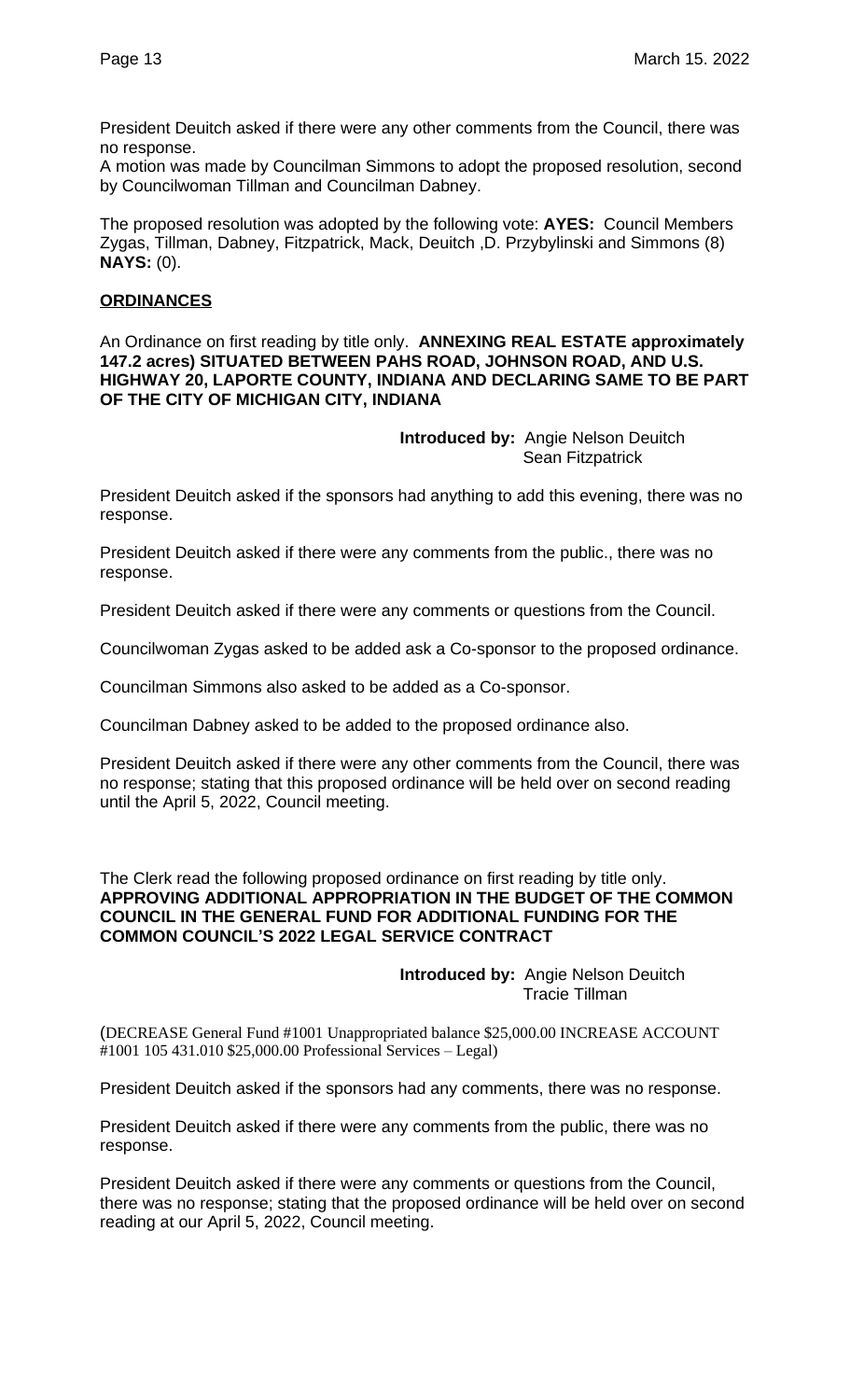President Deuitch asked if there were any other comments from the Council, there was no response.

A motion was made by Councilman Simmons to adopt the proposed resolution, second by Councilwoman Tillman and Councilman Dabney.

The proposed resolution was adopted by the following vote: **AYES:** Council Members Zygas, Tillman, Dabney, Fitzpatrick, Mack, Deuitch ,D. Przybylinski and Simmons (8) **NAYS:** (0).

## **ORDINANCES**

An Ordinance on first reading by title only. **ANNEXING REAL ESTATE approximately 147.2 acres) SITUATED BETWEEN PAHS ROAD, JOHNSON ROAD, AND U.S. HIGHWAY 20, LAPORTE COUNTY, INDIANA AND DECLARING SAME TO BE PART OF THE CITY OF MICHIGAN CITY, INDIANA**

> **Introduced by:** Angie Nelson Deuitch Sean Fitzpatrick

President Deuitch asked if the sponsors had anything to add this evening, there was no response.

President Deuitch asked if there were any comments from the public., there was no response.

President Deuitch asked if there were any comments or questions from the Council.

Councilwoman Zygas asked to be added ask a Co-sponsor to the proposed ordinance.

Councilman Simmons also asked to be added as a Co-sponsor.

Councilman Dabney asked to be added to the proposed ordinance also.

President Deuitch asked if there were any other comments from the Council, there was no response; stating that this proposed ordinance will be held over on second reading until the April 5, 2022, Council meeting.

The Clerk read the following proposed ordinance on first reading by title only. **APPROVING ADDITIONAL APPROPRIATION IN THE BUDGET OF THE COMMON COUNCIL IN THE GENERAL FUND FOR ADDITIONAL FUNDING FOR THE COMMON COUNCIL'S 2022 LEGAL SERVICE CONTRACT**

> **Introduced by:** Angie Nelson Deuitch Tracie Tillman

(DECREASE General Fund #1001 Unappropriated balance \$25,000.00 INCREASE ACCOUNT #1001 105 431.010 \$25,000.00 Professional Services – Legal)

President Deuitch asked if the sponsors had any comments, there was no response.

President Deuitch asked if there were any comments from the public, there was no response.

President Deuitch asked if there were any comments or questions from the Council, there was no response; stating that the proposed ordinance will be held over on second reading at our April 5, 2022, Council meeting.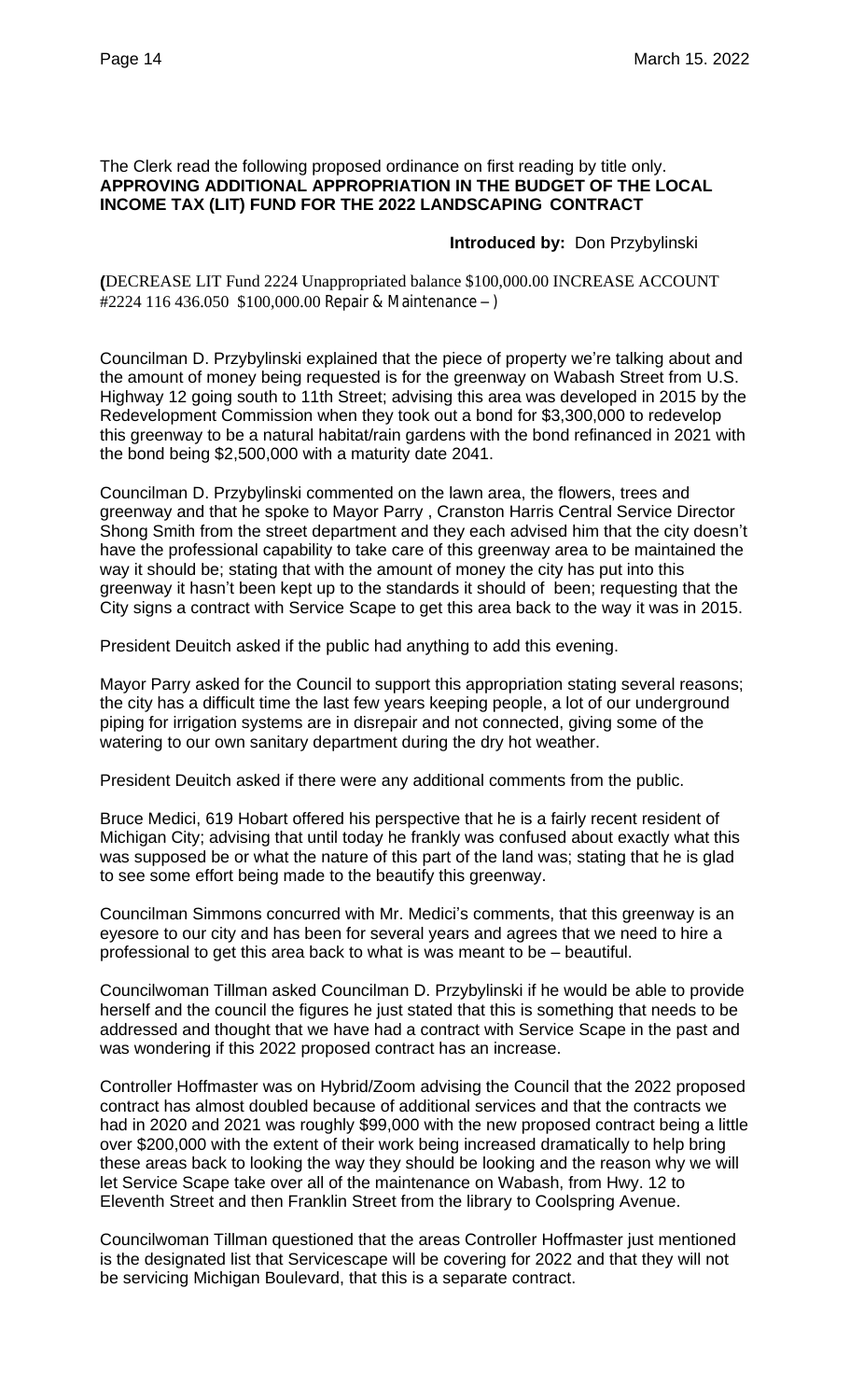The Clerk read the following proposed ordinance on first reading by title only. **APPROVING ADDITIONAL APPROPRIATION IN THE BUDGET OF THE LOCAL INCOME TAX (LIT) FUND FOR THE 2022 LANDSCAPING CONTRACT**

## **Introduced by:** Don Przybylinski

**(**DECREASE LIT Fund 2224 Unappropriated balance \$100,000.00 INCREASE ACCOUNT #2224 116 436.050 \$100,000.00 Repair & Maintenance – )

Councilman D. Przybylinski explained that the piece of property we're talking about and the amount of money being requested is for the greenway on Wabash Street from U.S. Highway 12 going south to 11th Street; advising this area was developed in 2015 by the Redevelopment Commission when they took out a bond for \$3,300,000 to redevelop this greenway to be a natural habitat/rain gardens with the bond refinanced in 2021 with the bond being \$2,500,000 with a maturity date 2041.

Councilman D. Przybylinski commented on the lawn area, the flowers, trees and greenway and that he spoke to Mayor Parry , Cranston Harris Central Service Director Shong Smith from the street department and they each advised him that the city doesn't have the professional capability to take care of this greenway area to be maintained the way it should be; stating that with the amount of money the city has put into this greenway it hasn't been kept up to the standards it should of been; requesting that the City signs a contract with Service Scape to get this area back to the way it was in 2015.

President Deuitch asked if the public had anything to add this evening.

Mayor Parry asked for the Council to support this appropriation stating several reasons; the city has a difficult time the last few years keeping people, a lot of our underground piping for irrigation systems are in disrepair and not connected, giving some of the watering to our own sanitary department during the dry hot weather.

President Deuitch asked if there were any additional comments from the public.

Bruce Medici, 619 Hobart offered his perspective that he is a fairly recent resident of Michigan City; advising that until today he frankly was confused about exactly what this was supposed be or what the nature of this part of the land was; stating that he is glad to see some effort being made to the beautify this greenway.

Councilman Simmons concurred with Mr. Medici's comments, that this greenway is an eyesore to our city and has been for several years and agrees that we need to hire a professional to get this area back to what is was meant to be – beautiful.

Councilwoman Tillman asked Councilman D. Przybylinski if he would be able to provide herself and the council the figures he just stated that this is something that needs to be addressed and thought that we have had a contract with Service Scape in the past and was wondering if this 2022 proposed contract has an increase.

Controller Hoffmaster was on Hybrid/Zoom advising the Council that the 2022 proposed contract has almost doubled because of additional services and that the contracts we had in 2020 and 2021 was roughly \$99,000 with the new proposed contract being a little over \$200,000 with the extent of their work being increased dramatically to help bring these areas back to looking the way they should be looking and the reason why we will let Service Scape take over all of the maintenance on Wabash, from Hwy. 12 to Eleventh Street and then Franklin Street from the library to Coolspring Avenue.

Councilwoman Tillman questioned that the areas Controller Hoffmaster just mentioned is the designated list that Servicescape will be covering for 2022 and that they will not be servicing Michigan Boulevard, that this is a separate contract.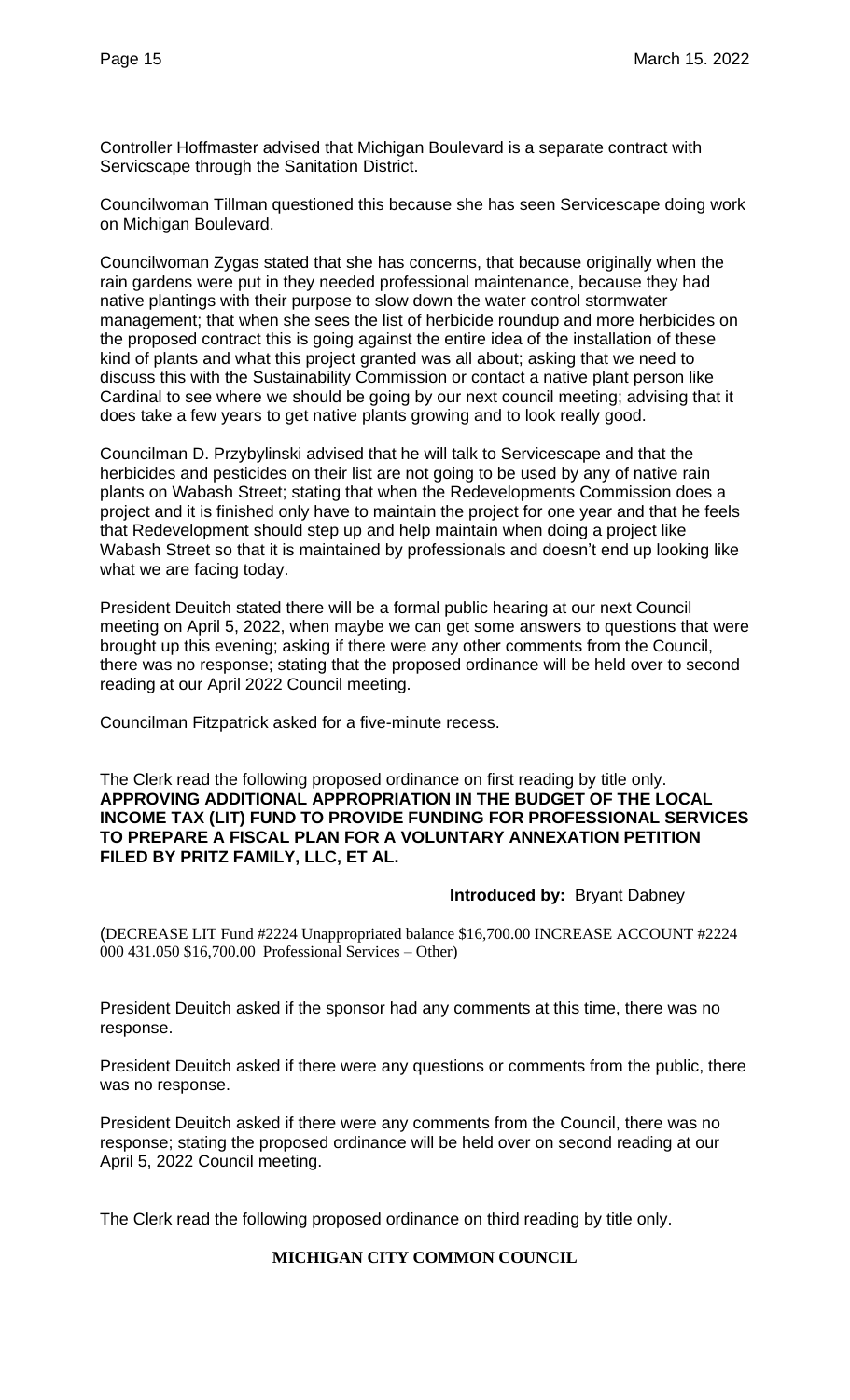Controller Hoffmaster advised that Michigan Boulevard is a separate contract with Servicscape through the Sanitation District.

Councilwoman Tillman questioned this because she has seen Servicescape doing work on Michigan Boulevard.

Councilwoman Zygas stated that she has concerns, that because originally when the rain gardens were put in they needed professional maintenance, because they had native plantings with their purpose to slow down the water control stormwater management; that when she sees the list of herbicide roundup and more herbicides on the proposed contract this is going against the entire idea of the installation of these kind of plants and what this project granted was all about; asking that we need to discuss this with the Sustainability Commission or contact a native plant person like Cardinal to see where we should be going by our next council meeting; advising that it does take a few years to get native plants growing and to look really good.

Councilman D. Przybylinski advised that he will talk to Servicescape and that the herbicides and pesticides on their list are not going to be used by any of native rain plants on Wabash Street; stating that when the Redevelopments Commission does a project and it is finished only have to maintain the project for one year and that he feels that Redevelopment should step up and help maintain when doing a project like Wabash Street so that it is maintained by professionals and doesn't end up looking like what we are facing today.

President Deuitch stated there will be a formal public hearing at our next Council meeting on April 5, 2022, when maybe we can get some answers to questions that were brought up this evening; asking if there were any other comments from the Council, there was no response; stating that the proposed ordinance will be held over to second reading at our April 2022 Council meeting.

Councilman Fitzpatrick asked for a five-minute recess.

The Clerk read the following proposed ordinance on first reading by title only. **APPROVING ADDITIONAL APPROPRIATION IN THE BUDGET OF THE LOCAL INCOME TAX (LIT) FUND TO PROVIDE FUNDING FOR PROFESSIONAL SERVICES TO PREPARE A FISCAL PLAN FOR A VOLUNTARY ANNEXATION PETITION FILED BY PRITZ FAMILY, LLC, ET AL.**

## **Introduced by:** Bryant Dabney

(DECREASE LIT Fund #2224 Unappropriated balance \$16,700.00 INCREASE ACCOUNT #2224 000 431.050 \$16,700.00 Professional Services – Other)

President Deuitch asked if the sponsor had any comments at this time, there was no response.

President Deuitch asked if there were any questions or comments from the public, there was no response.

President Deuitch asked if there were any comments from the Council, there was no response; stating the proposed ordinance will be held over on second reading at our April 5, 2022 Council meeting.

The Clerk read the following proposed ordinance on third reading by title only.

## **MICHIGAN CITY COMMON COUNCIL**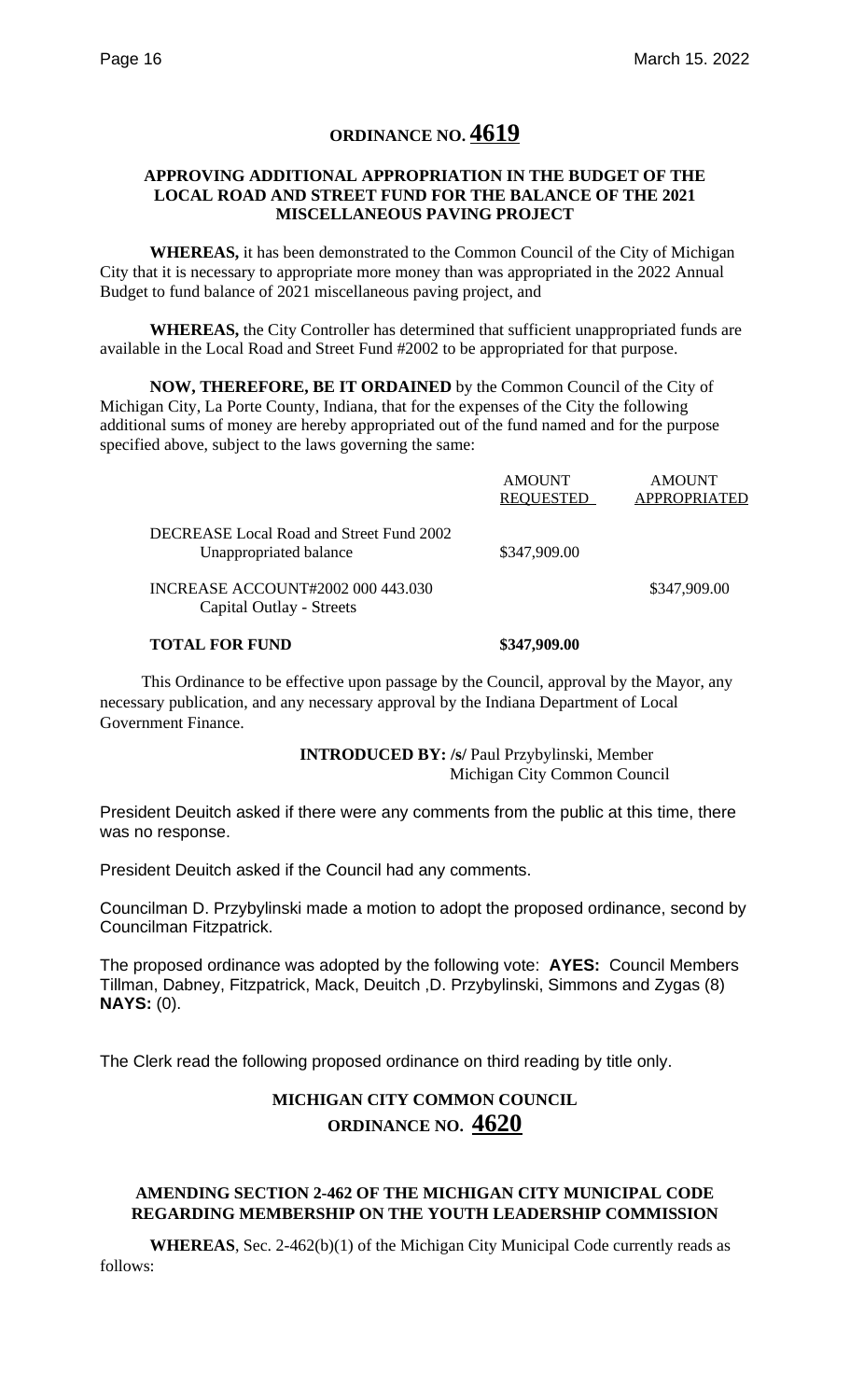# **ORDINANCE NO. 4619**

#### **APPROVING ADDITIONAL APPROPRIATION IN THE BUDGET OF THE LOCAL ROAD AND STREET FUND FOR THE BALANCE OF THE 2021 MISCELLANEOUS PAVING PROJECT**

**WHEREAS,** it has been demonstrated to the Common Council of the City of Michigan City that it is necessary to appropriate more money than was appropriated in the 2022 Annual Budget to fund balance of 2021 miscellaneous paving project, and

**WHEREAS,** the City Controller has determined that sufficient unappropriated funds are available in the Local Road and Street Fund #2002 to be appropriated for that purpose.

**NOW, THEREFORE, BE IT ORDAINED** by the Common Council of the City of Michigan City, La Porte County, Indiana, that for the expenses of the City the following additional sums of money are hereby appropriated out of the fund named and for the purpose specified above, subject to the laws governing the same:

| INCREASE ACCOUNT#2002 000 443.030<br>Capital Outlay - Streets |                                   | \$347,909.00                  |
|---------------------------------------------------------------|-----------------------------------|-------------------------------|
| Unappropriated balance                                        | \$347,909.00                      |                               |
| DECREASE Local Road and Street Fund 2002                      | <b>AMOUNT</b><br><b>REQUESTED</b> | <b>AMOUNT</b><br>APPROPRIATED |

 This Ordinance to be effective upon passage by the Council, approval by the Mayor, any necessary publication, and any necessary approval by the Indiana Department of Local Government Finance.

> **INTRODUCED BY: /s/** Paul Przybylinski, Member Michigan City Common Council

President Deuitch asked if there were any comments from the public at this time, there was no response.

President Deuitch asked if the Council had any comments.

Councilman D. Przybylinski made a motion to adopt the proposed ordinance, second by Councilman Fitzpatrick.

The proposed ordinance was adopted by the following vote: **AYES:** Council Members Tillman, Dabney, Fitzpatrick, Mack, Deuitch ,D. Przybylinski, Simmons and Zygas (8) **NAYS:** (0).

The Clerk read the following proposed ordinance on third reading by title only.

# **MICHIGAN CITY COMMON COUNCIL ORDINANCE NO. 4620**

## **AMENDING SECTION 2-462 OF THE MICHIGAN CITY MUNICIPAL CODE REGARDING MEMBERSHIP ON THE YOUTH LEADERSHIP COMMISSION**

**WHEREAS**, Sec. 2-462(b)(1) of the Michigan City Municipal Code currently reads as follows: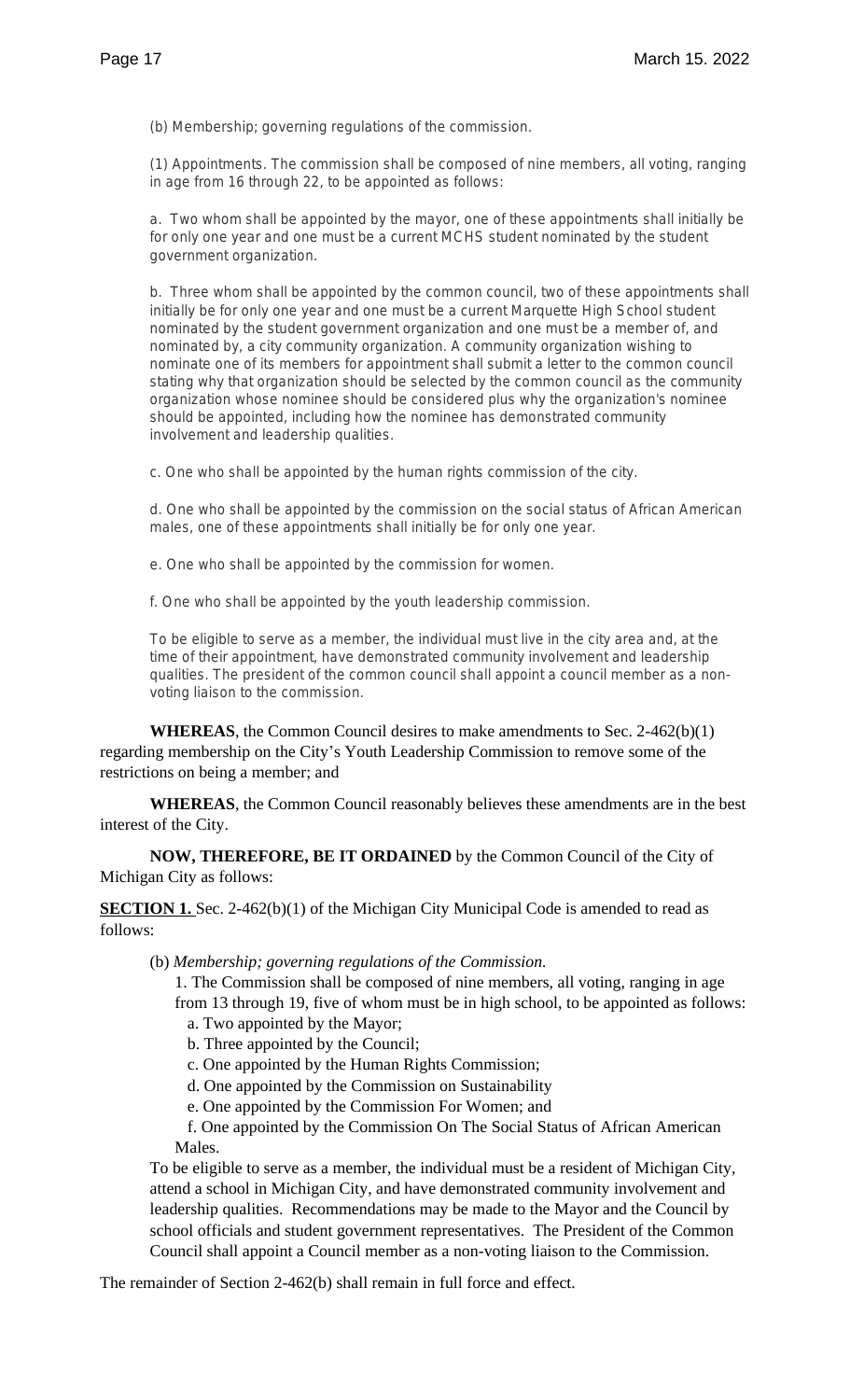(b) *Membership; governing regulations of the commission.*

(1) *Appointments.* The commission shall be composed of nine members, all voting, ranging in age from 16 through 22, to be appointed as follows:

a. Two whom shall be appointed by the mayor, one of these appointments shall initially be for only one year and one must be a current MCHS student nominated by the student government organization.

b. Three whom shall be appointed by the common council, two of these appointments shall initially be for only one year and one must be a current Marquette High School student nominated by the student government organization and one must be a member of, and nominated by, a city community organization. A community organization wishing to nominate one of its members for appointment shall submit a letter to the common council stating why that organization should be selected by the common council as the community organization whose nominee should be considered plus why the organization's nominee should be appointed, including how the nominee has demonstrated community involvement and leadership qualities.

c. One who shall be appointed by the human rights commission of the city.

d. One who shall be appointed by the commission on the social status of African American males, one of these appointments shall initially be for only one year.

e. One who shall be appointed by the commission for women.

f. One who shall be appointed by the youth leadership commission.

To be eligible to serve as a member, the individual must live in the city area and, at the time of their appointment, have demonstrated community involvement and leadership qualities. The president of the common council shall appoint a council member as a nonvoting liaison to the commission.

**WHEREAS**, the Common Council desires to make amendments to Sec. 2-462(b)(1) regarding membership on the City's Youth Leadership Commission to remove some of the restrictions on being a member; and

**WHEREAS**, the Common Council reasonably believes these amendments are in the best interest of the City.

**NOW, THEREFORE, BE IT ORDAINED** by the Common Council of the City of Michigan City as follows:

**SECTION 1.** Sec. 2-462(b)(1) of the Michigan City Municipal Code is amended to read as follows:

(b) *Membership; governing regulations of the Commission.*

1. The Commission shall be composed of nine members, all voting, ranging in age from 13 through 19, five of whom must be in high school, to be appointed as follows:

- a. Two appointed by the Mayor;
- b. Three appointed by the Council;
- c. One appointed by the Human Rights Commission;
- d. One appointed by the Commission on Sustainability
- e. One appointed by the Commission For Women; and

 f. One appointed by the Commission On The Social Status of African American Males.

To be eligible to serve as a member, the individual must be a resident of Michigan City, attend a school in Michigan City, and have demonstrated community involvement and leadership qualities. Recommendations may be made to the Mayor and the Council by school officials and student government representatives. The President of the Common Council shall appoint a Council member as a non-voting liaison to the Commission.

The remainder of Section 2-462(b) shall remain in full force and effect.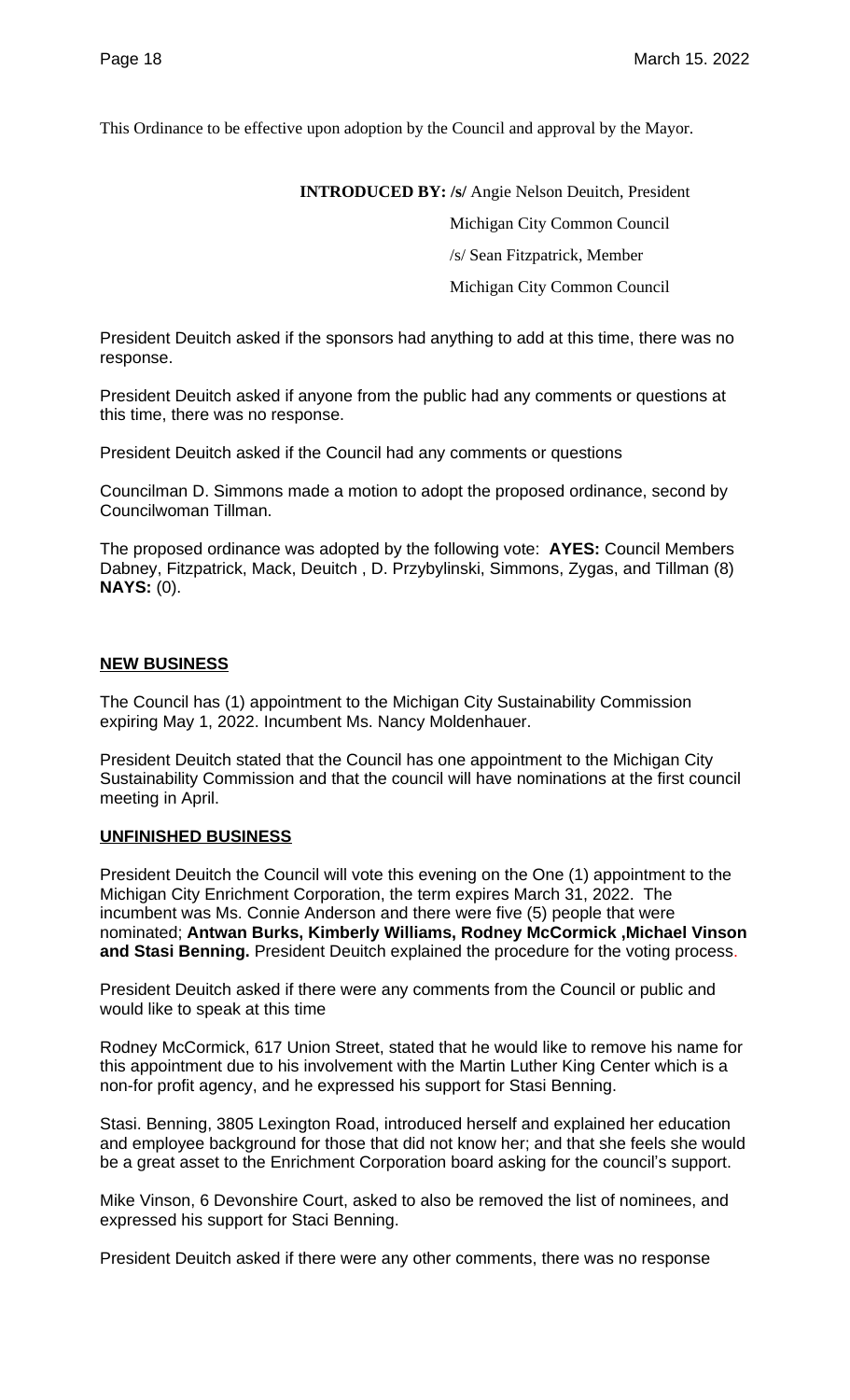This Ordinance to be effective upon adoption by the Council and approval by the Mayor.

**INTRODUCED BY: /s/** Angie Nelson Deuitch, President

Michigan City Common Council

/s/ Sean Fitzpatrick, Member

Michigan City Common Council

President Deuitch asked if the sponsors had anything to add at this time, there was no response.

President Deuitch asked if anyone from the public had any comments or questions at this time, there was no response.

President Deuitch asked if the Council had any comments or questions

Councilman D. Simmons made a motion to adopt the proposed ordinance, second by Councilwoman Tillman.

The proposed ordinance was adopted by the following vote: **AYES:** Council Members Dabney, Fitzpatrick, Mack, Deuitch , D. Przybylinski, Simmons, Zygas, and Tillman (8) **NAYS:** (0).

#### **NEW BUSINESS**

The Council has (1) appointment to the Michigan City Sustainability Commission expiring May 1, 2022. Incumbent Ms. Nancy Moldenhauer.

President Deuitch stated that the Council has one appointment to the Michigan City Sustainability Commission and that the council will have nominations at the first council meeting in April.

## **UNFINISHED BUSINESS**

President Deuitch the Council will vote this evening on the One (1) appointment to the Michigan City Enrichment Corporation, the term expires March 31, 2022. The incumbent was Ms. Connie Anderson and there were five (5) people that were nominated; **Antwan Burks, Kimberly Williams, Rodney McCormick ,Michael Vinson and Stasi Benning.** President Deuitch explained the procedure for the voting process.

President Deuitch asked if there were any comments from the Council or public and would like to speak at this time

Rodney McCormick, 617 Union Street, stated that he would like to remove his name for this appointment due to his involvement with the Martin Luther King Center which is a non-for profit agency, and he expressed his support for Stasi Benning.

Stasi. Benning, 3805 Lexington Road, introduced herself and explained her education and employee background for those that did not know her; and that she feels she would be a great asset to the Enrichment Corporation board asking for the council's support.

Mike Vinson, 6 Devonshire Court, asked to also be removed the list of nominees, and expressed his support for Staci Benning.

President Deuitch asked if there were any other comments, there was no response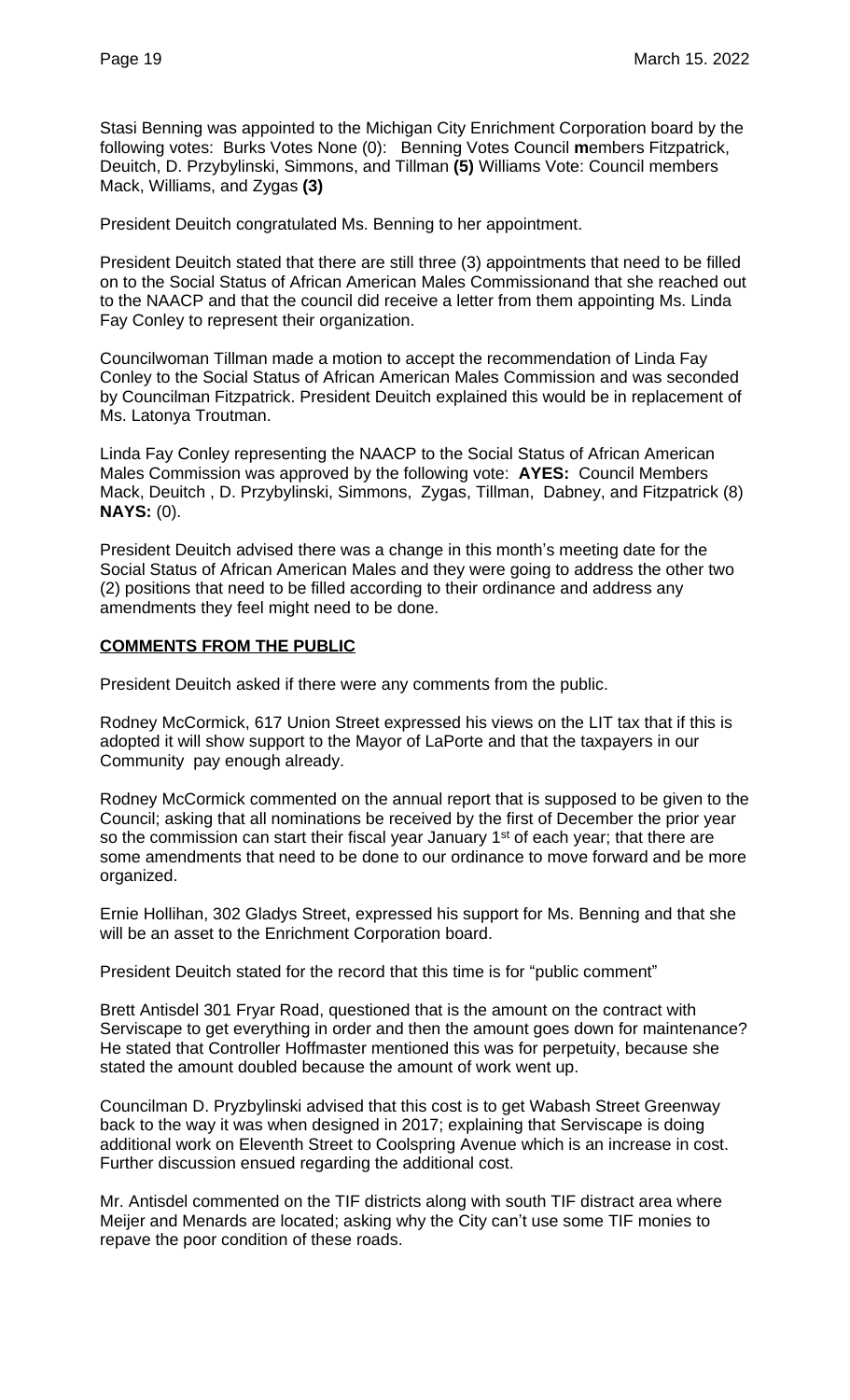Stasi Benning was appointed to the Michigan City Enrichment Corporation board by the following votes: Burks Votes None (0): Benning Votes Council **m**embers Fitzpatrick, Deuitch, D. Przybylinski, Simmons, and Tillman **(5)** Williams Vote: Council members Mack, Williams, and Zygas **(3)**

President Deuitch congratulated Ms. Benning to her appointment.

President Deuitch stated that there are still three (3) appointments that need to be filled on to the Social Status of African American Males Commissionand that she reached out to the NAACP and that the council did receive a letter from them appointing Ms. Linda Fay Conley to represent their organization.

Councilwoman Tillman made a motion to accept the recommendation of Linda Fay Conley to the Social Status of African American Males Commission and was seconded by Councilman Fitzpatrick. President Deuitch explained this would be in replacement of Ms. Latonya Troutman.

Linda Fay Conley representing the NAACP to the Social Status of African American Males Commission was approved by the following vote: **AYES:** Council Members Mack, Deuitch , D. Przybylinski, Simmons, Zygas, Tillman, Dabney, and Fitzpatrick (8) **NAYS:** (0).

President Deuitch advised there was a change in this month's meeting date for the Social Status of African American Males and they were going to address the other two (2) positions that need to be filled according to their ordinance and address any amendments they feel might need to be done.

## **COMMENTS FROM THE PUBLIC**

President Deuitch asked if there were any comments from the public.

Rodney McCormick, 617 Union Street expressed his views on the LIT tax that if this is adopted it will show support to the Mayor of LaPorte and that the taxpayers in our Community pay enough already.

Rodney McCormick commented on the annual report that is supposed to be given to the Council; asking that all nominations be received by the first of December the prior year so the commission can start their fiscal year January 1<sup>st</sup> of each year; that there are some amendments that need to be done to our ordinance to move forward and be more organized.

Ernie Hollihan, 302 Gladys Street, expressed his support for Ms. Benning and that she will be an asset to the Enrichment Corporation board.

President Deuitch stated for the record that this time is for "public comment"

Brett Antisdel 301 Fryar Road, questioned that is the amount on the contract with Serviscape to get everything in order and then the amount goes down for maintenance? He stated that Controller Hoffmaster mentioned this was for perpetuity, because she stated the amount doubled because the amount of work went up.

Councilman D. Pryzbylinski advised that this cost is to get Wabash Street Greenway back to the way it was when designed in 2017; explaining that Serviscape is doing additional work on Eleventh Street to Coolspring Avenue which is an increase in cost. Further discussion ensued regarding the additional cost.

Mr. Antisdel commented on the TIF districts along with south TIF distract area where Meijer and Menards are located; asking why the City can't use some TIF monies to repave the poor condition of these roads.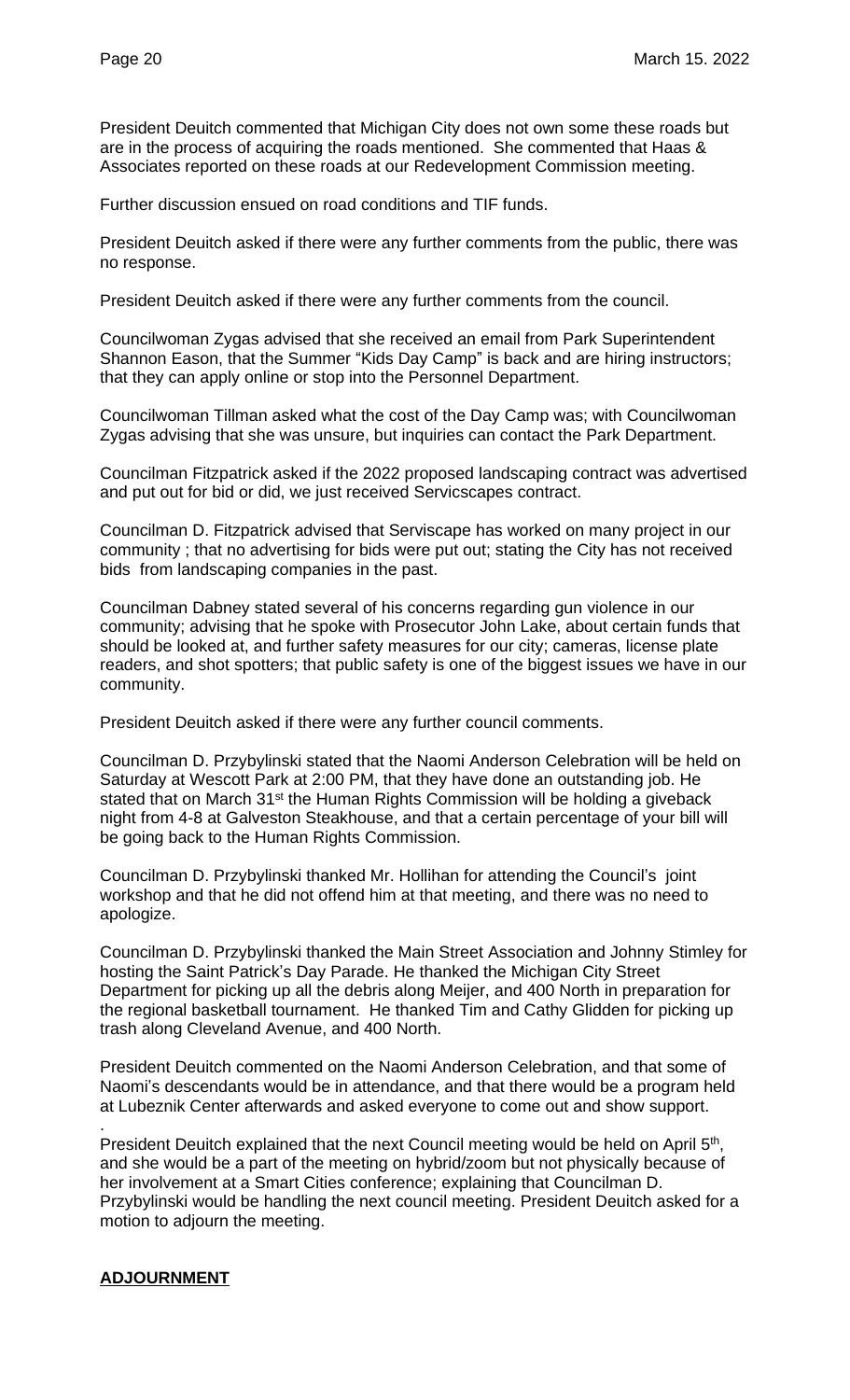President Deuitch commented that Michigan City does not own some these roads but are in the process of acquiring the roads mentioned. She commented that Haas & Associates reported on these roads at our Redevelopment Commission meeting.

Further discussion ensued on road conditions and TIF funds.

President Deuitch asked if there were any further comments from the public, there was no response.

President Deuitch asked if there were any further comments from the council.

Councilwoman Zygas advised that she received an email from Park Superintendent Shannon Eason, that the Summer "Kids Day Camp" is back and are hiring instructors; that they can apply online or stop into the Personnel Department.

Councilwoman Tillman asked what the cost of the Day Camp was; with Councilwoman Zygas advising that she was unsure, but inquiries can contact the Park Department.

Councilman Fitzpatrick asked if the 2022 proposed landscaping contract was advertised and put out for bid or did, we just received Servicscapes contract.

Councilman D. Fitzpatrick advised that Serviscape has worked on many project in our community ; that no advertising for bids were put out; stating the City has not received bids from landscaping companies in the past.

Councilman Dabney stated several of his concerns regarding gun violence in our community; advising that he spoke with Prosecutor John Lake, about certain funds that should be looked at, and further safety measures for our city; cameras, license plate readers, and shot spotters; that public safety is one of the biggest issues we have in our community.

President Deuitch asked if there were any further council comments.

Councilman D. Przybylinski stated that the Naomi Anderson Celebration will be held on Saturday at Wescott Park at 2:00 PM, that they have done an outstanding job. He stated that on March 31<sup>st</sup> the Human Rights Commission will be holding a giveback night from 4-8 at Galveston Steakhouse, and that a certain percentage of your bill will be going back to the Human Rights Commission.

Councilman D. Przybylinski thanked Mr. Hollihan for attending the Council's joint workshop and that he did not offend him at that meeting, and there was no need to apologize.

Councilman D. Przybylinski thanked the Main Street Association and Johnny Stimley for hosting the Saint Patrick's Day Parade. He thanked the Michigan City Street Department for picking up all the debris along Meijer, and 400 North in preparation for the regional basketball tournament. He thanked Tim and Cathy Glidden for picking up trash along Cleveland Avenue, and 400 North.

President Deuitch commented on the Naomi Anderson Celebration, and that some of Naomi's descendants would be in attendance, and that there would be a program held at Lubeznik Center afterwards and asked everyone to come out and show support.

. President Deuitch explained that the next Council meeting would be held on April 5<sup>th</sup>, and she would be a part of the meeting on hybrid/zoom but not physically because of her involvement at a Smart Cities conference; explaining that Councilman D. Przybylinski would be handling the next council meeting. President Deuitch asked for a motion to adjourn the meeting.

## **ADJOURNMENT**